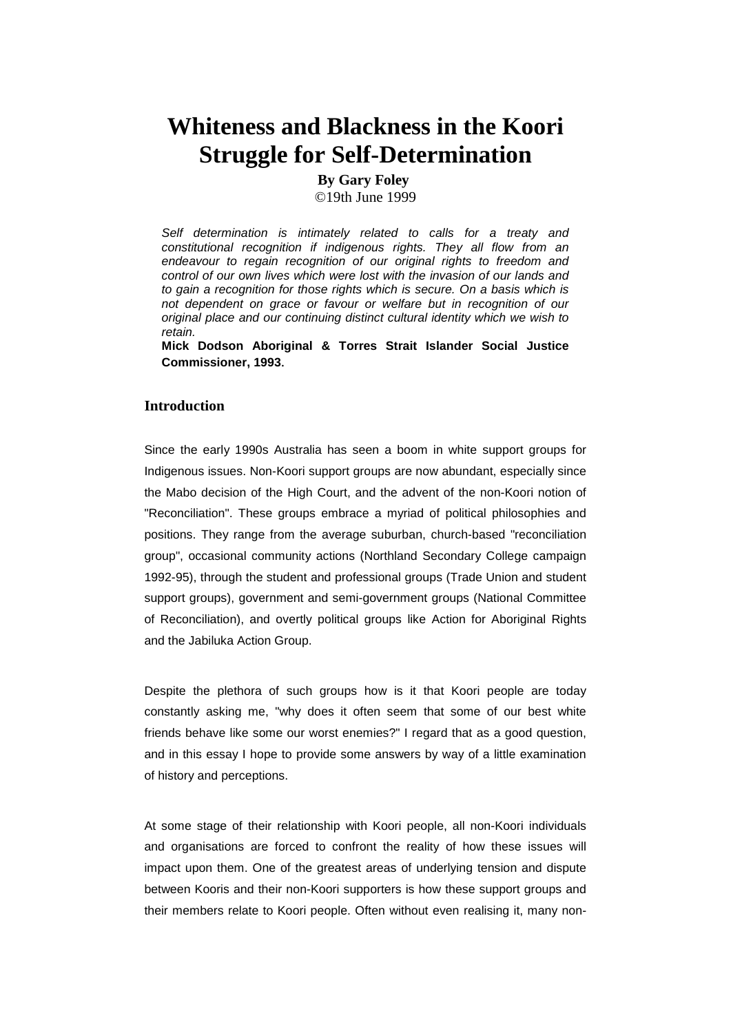# **Whiteness and Blackness in the Koori Struggle for Self-Determination**

**By Gary Foley**

©19th June 1999

*Self determination is intimately related to calls for a treaty and constitutional recognition if indigenous rights. They all flow from an endeavour to regain recognition of our original rights to freedom and control of our own lives which were lost with the invasion of our lands and to gain a recognition for those rights which is secure. On a basis which is not dependent on grace or favour or welfare but in recognition of our original place and our continuing distinct cultural identity which we wish to retain.*

**Mick Dodson Aboriginal & Torres Strait Islander Social Justice Commissioner, 1993**.

### **Introduction**

Since the early 1990s Australia has seen a boom in white support groups for Indigenous issues. Non-Koori support groups are now abundant, especially since the Mabo decision of the High Court, and the advent of the non-Koori notion of "Reconciliation". These groups embrace a myriad of political philosophies and positions. They range from the average suburban, church-based "reconciliation group", occasional community actions (Northland Secondary College campaign 1992-95), through the student and professional groups (Trade Union and student support groups), government and semi-government groups (National Committee of Reconciliation), and overtly political groups like Action for Aboriginal Rights and the Jabiluka Action Group.

Despite the plethora of such groups how is it that Koori people are today constantly asking me, "why does it often seem that some of our best white friends behave like some our worst enemies?" I regard that as a good question, and in this essay I hope to provide some answers by way of a little examination of history and perceptions.

At some stage of their relationship with Koori people, all non-Koori individuals and organisations are forced to confront the reality of how these issues will impact upon them. One of the greatest areas of underlying tension and dispute between Kooris and their non-Koori supporters is how these support groups and their members relate to Koori people. Often without even realising it, many non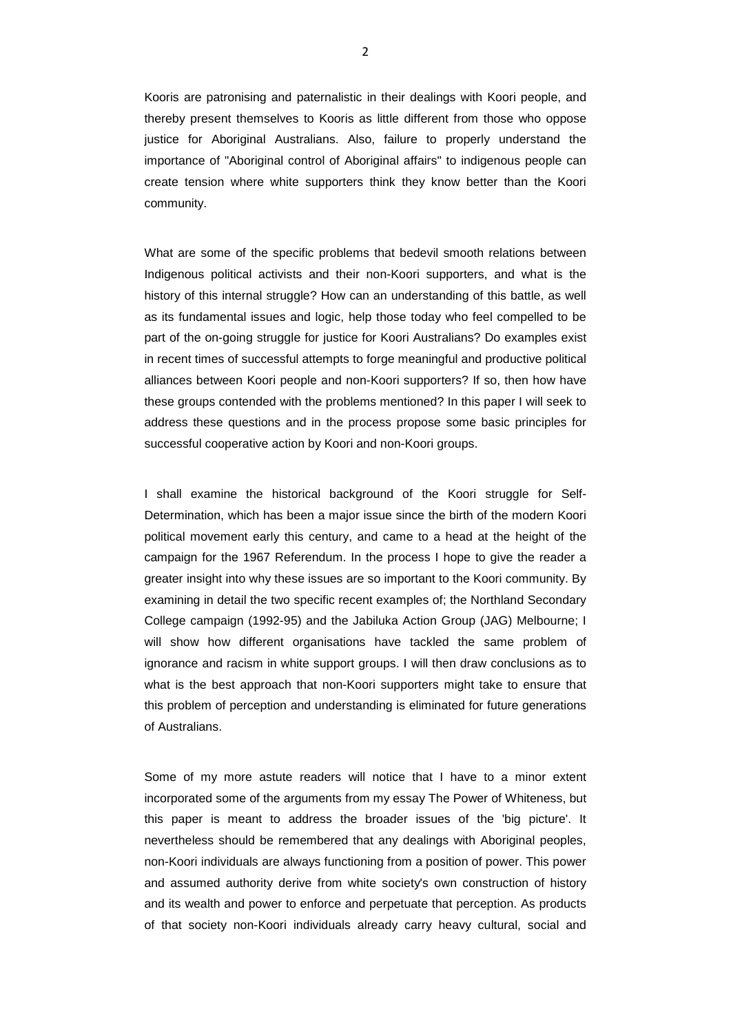Kooris are patronising and paternalistic in their dealings with Koori people, and thereby present themselves to Kooris as little different from those who oppose justice for Aboriginal Australians. Also, failure to properly understand the importance of "Aboriginal control of Aboriginal affairs" to indigenous people can create tension where white supporters think they know better than the Koori community.

What are some of the specific problems that bedevil smooth relations between Indigenous political activists and their non-Koori supporters, and what is the history of this internal struggle? How can an understanding of this battle, as well as its fundamental issues and logic, help those today who feel compelled to be part of the on-going struggle for justice for Koori Australians? Do examples exist in recent times of successful attempts to forge meaningful and productive political alliances between Koori people and non-Koori supporters? If so, then how have these groups contended with the problems mentioned? In this paper I will seek to address these questions and in the process propose some basic principles for successful cooperative action by Koori and non-Koori groups.

I shall examine the historical background of the Koori struggle for Self-Determination, which has been a major issue since the birth of the modern Koori political movement early this century, and came to a head at the height of the campaign for the 1967 Referendum. In the process I hope to give the reader a greater insight into why these issues are so important to the Koori community. By examining in detail the two specific recent examples of; the Northland Secondary College campaign (1992-95) and the Jabiluka Action Group (JAG) Melbourne; I will show how different organisations have tackled the same problem of ignorance and racism in white support groups. I will then draw conclusions as to what is the best approach that non-Koori supporters might take to ensure that this problem of perception and understanding is eliminated for future generations of Australians.

Some of my more astute readers will notice that I have to a minor extent incorporated some of the arguments from my essay The Power of Whiteness, but this paper is meant to address the broader issues of the 'big picture'. It nevertheless should be remembered that any dealings with Aboriginal peoples, non-Koori individuals are always functioning from a position of power. This power and assumed authority derive from white society's own construction of history and its wealth and power to enforce and perpetuate that perception. As products of that society non-Koori individuals already carry heavy cultural, social and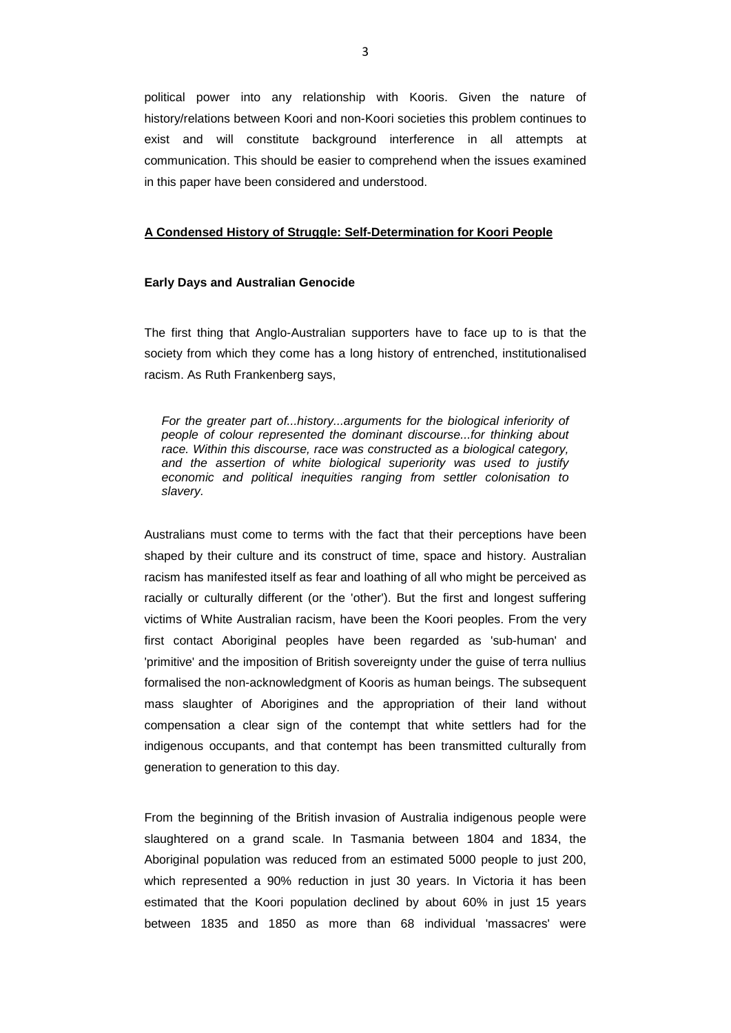political power into any relationship with Kooris. Given the nature of history/relations between Koori and non-Koori societies this problem continues to exist and will constitute background interference in all attempts at communication. This should be easier to comprehend when the issues examined in this paper have been considered and understood.

### **A Condensed History of Struggle: Self-Determination for Koori People**

#### **Early Days and Australian Genocide**

The first thing that Anglo-Australian supporters have to face up to is that the society from which they come has a long history of entrenched, institutionalised racism. As Ruth Frankenberg says,

*For the greater part of...history...arguments for the biological inferiority of people of colour represented the dominant discourse...for thinking about race. Within this discourse, race was constructed as a biological category, and the assertion of white biological superiority was used to justify economic and political inequities ranging from settler colonisation to slavery.*

Australians must come to terms with the fact that their perceptions have been shaped by their culture and its construct of time, space and history. Australian racism has manifested itself as fear and loathing of all who might be perceived as racially or culturally different (or the 'other'). But the first and longest suffering victims of White Australian racism, have been the Koori peoples. From the very first contact Aboriginal peoples have been regarded as 'sub-human' and 'primitive' and the imposition of British sovereignty under the guise of terra nullius formalised the non-acknowledgment of Kooris as human beings. The subsequent mass slaughter of Aborigines and the appropriation of their land without compensation a clear sign of the contempt that white settlers had for the indigenous occupants, and that contempt has been transmitted culturally from generation to generation to this day.

From the beginning of the British invasion of Australia indigenous people were slaughtered on a grand scale. In Tasmania between 1804 and 1834, the Aboriginal population was reduced from an estimated 5000 people to just 200, which represented a 90% reduction in just 30 years. In Victoria it has been estimated that the Koori population declined by about 60% in just 15 years between 1835 and 1850 as more than 68 individual 'massacres' were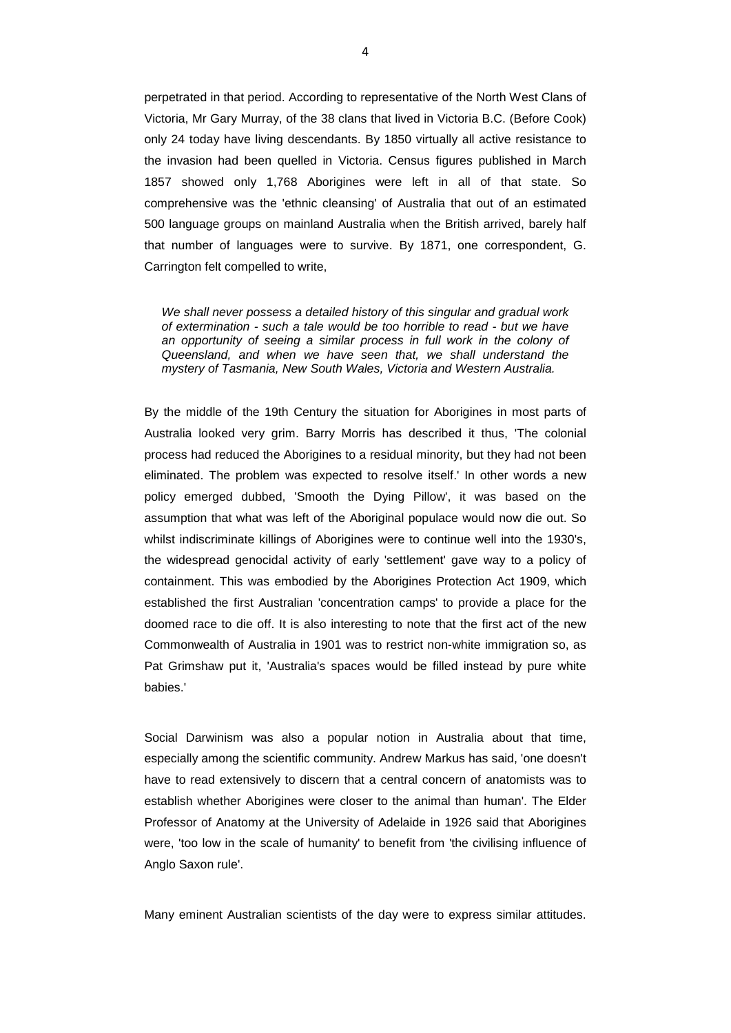perpetrated in that period. According to representative of the North West Clans of Victoria, Mr Gary Murray, of the 38 clans that lived in Victoria B.C. (Before Cook) only 24 today have living descendants. By 1850 virtually all active resistance to the invasion had been quelled in Victoria. Census figures published in March 1857 showed only 1,768 Aborigines were left in all of that state. So comprehensive was the 'ethnic cleansing' of Australia that out of an estimated 500 language groups on mainland Australia when the British arrived, barely half that number of languages were to survive. By 1871, one correspondent, G. Carrington felt compelled to write,

*We shall never possess a detailed history of this singular and gradual work of extermination - such a tale would be too horrible to read - but we have*  an opportunity of seeing a similar process in full work in the colony of *Queensland, and when we have seen that, we shall understand the mystery of Tasmania, New South Wales, Victoria and Western Australia.*

By the middle of the 19th Century the situation for Aborigines in most parts of Australia looked very grim. Barry Morris has described it thus, 'The colonial process had reduced the Aborigines to a residual minority, but they had not been eliminated. The problem was expected to resolve itself.' In other words a new policy emerged dubbed, 'Smooth the Dying Pillow', it was based on the assumption that what was left of the Aboriginal populace would now die out. So whilst indiscriminate killings of Aborigines were to continue well into the 1930's, the widespread genocidal activity of early 'settlement' gave way to a policy of containment. This was embodied by the Aborigines Protection Act 1909, which established the first Australian 'concentration camps' to provide a place for the doomed race to die off. It is also interesting to note that the first act of the new Commonwealth of Australia in 1901 was to restrict non-white immigration so, as Pat Grimshaw put it, 'Australia's spaces would be filled instead by pure white babies.'

Social Darwinism was also a popular notion in Australia about that time, especially among the scientific community. Andrew Markus has said, 'one doesn't have to read extensively to discern that a central concern of anatomists was to establish whether Aborigines were closer to the animal than human'. The Elder Professor of Anatomy at the University of Adelaide in 1926 said that Aborigines were, 'too low in the scale of humanity' to benefit from 'the civilising influence of Anglo Saxon rule'.

Many eminent Australian scientists of the day were to express similar attitudes.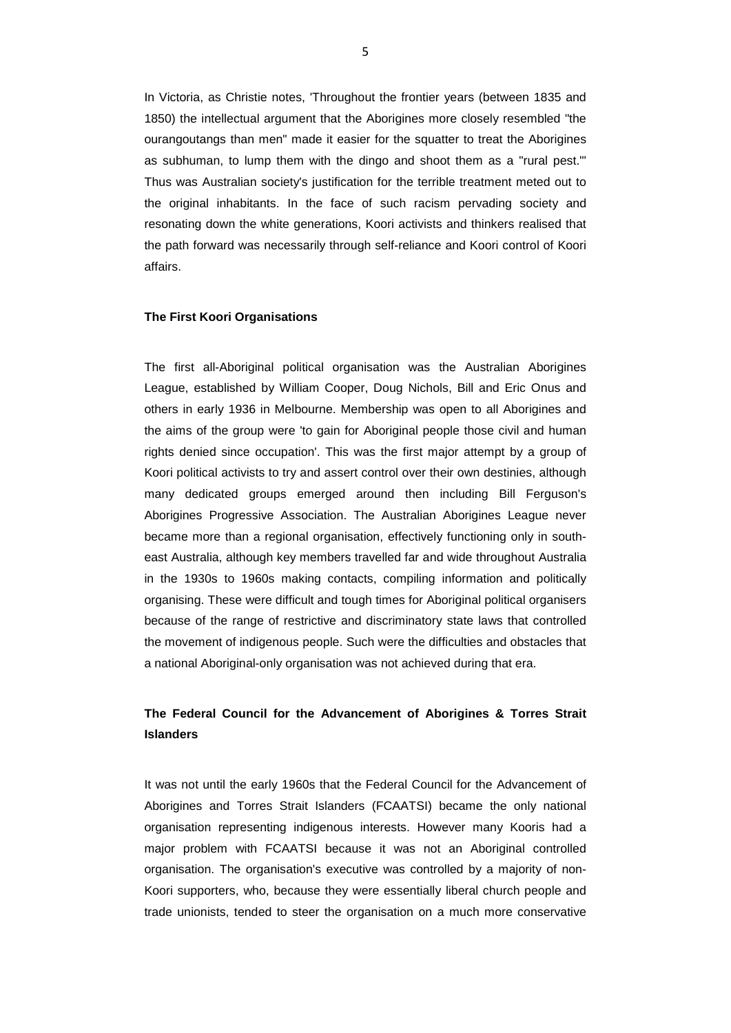In Victoria, as Christie notes, 'Throughout the frontier years (between 1835 and 1850) the intellectual argument that the Aborigines more closely resembled "the ourangoutangs than men" made it easier for the squatter to treat the Aborigines as subhuman, to lump them with the dingo and shoot them as a "rural pest."' Thus was Australian society's justification for the terrible treatment meted out to the original inhabitants. In the face of such racism pervading society and resonating down the white generations, Koori activists and thinkers realised that the path forward was necessarily through self-reliance and Koori control of Koori affairs.

### **The First Koori Organisations**

The first all-Aboriginal political organisation was the Australian Aborigines League, established by William Cooper, Doug Nichols, Bill and Eric Onus and others in early 1936 in Melbourne. Membership was open to all Aborigines and the aims of the group were 'to gain for Aboriginal people those civil and human rights denied since occupation'. This was the first major attempt by a group of Koori political activists to try and assert control over their own destinies, although many dedicated groups emerged around then including Bill Ferguson's Aborigines Progressive Association. The Australian Aborigines League never became more than a regional organisation, effectively functioning only in southeast Australia, although key members travelled far and wide throughout Australia in the 1930s to 1960s making contacts, compiling information and politically organising. These were difficult and tough times for Aboriginal political organisers because of the range of restrictive and discriminatory state laws that controlled the movement of indigenous people. Such were the difficulties and obstacles that a national Aboriginal-only organisation was not achieved during that era.

## **The Federal Council for the Advancement of Aborigines & Torres Strait Islanders**

It was not until the early 1960s that the Federal Council for the Advancement of Aborigines and Torres Strait Islanders (FCAATSI) became the only national organisation representing indigenous interests. However many Kooris had a major problem with FCAATSI because it was not an Aboriginal controlled organisation. The organisation's executive was controlled by a majority of non-Koori supporters, who, because they were essentially liberal church people and trade unionists, tended to steer the organisation on a much more conservative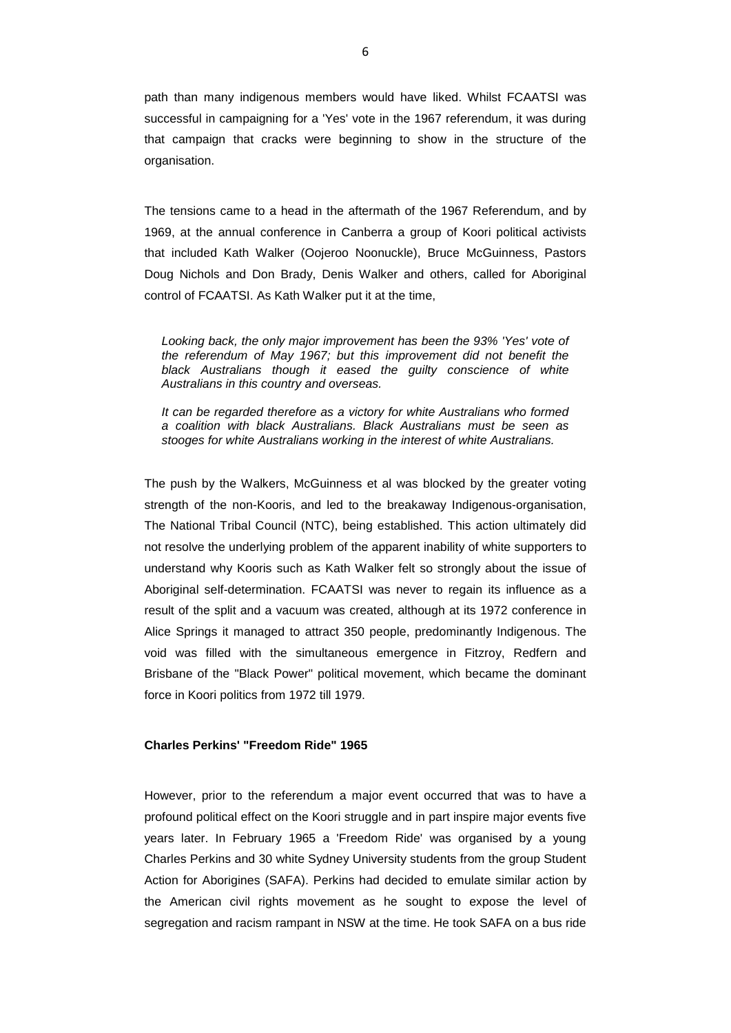path than many indigenous members would have liked. Whilst FCAATSI was successful in campaigning for a 'Yes' vote in the 1967 referendum, it was during that campaign that cracks were beginning to show in the structure of the organisation.

The tensions came to a head in the aftermath of the 1967 Referendum, and by 1969, at the annual conference in Canberra a group of Koori political activists that included Kath Walker (Oojeroo Noonuckle), Bruce McGuinness, Pastors Doug Nichols and Don Brady, Denis Walker and others, called for Aboriginal control of FCAATSI. As Kath Walker put it at the time,

*Looking back, the only major improvement has been the 93% 'Yes' vote of the referendum of May 1967; but this improvement did not benefit the*  black Australians though it eased the guilty conscience of white *Australians in this country and overseas.*

*It can be regarded therefore as a victory for white Australians who formed a coalition with black Australians. Black Australians must be seen as stooges for white Australians working in the interest of white Australians.*

The push by the Walkers, McGuinness et al was blocked by the greater voting strength of the non-Kooris, and led to the breakaway Indigenous-organisation, The National Tribal Council (NTC), being established. This action ultimately did not resolve the underlying problem of the apparent inability of white supporters to understand why Kooris such as Kath Walker felt so strongly about the issue of Aboriginal self-determination. FCAATSI was never to regain its influence as a result of the split and a vacuum was created, although at its 1972 conference in Alice Springs it managed to attract 350 people, predominantly Indigenous. The void was filled with the simultaneous emergence in Fitzroy, Redfern and Brisbane of the "Black Power" political movement, which became the dominant force in Koori politics from 1972 till 1979.

### **Charles Perkins' "Freedom Ride" 1965**

However, prior to the referendum a major event occurred that was to have a profound political effect on the Koori struggle and in part inspire major events five years later. In February 1965 a 'Freedom Ride' was organised by a young Charles Perkins and 30 white Sydney University students from the group Student Action for Aborigines (SAFA). Perkins had decided to emulate similar action by the American civil rights movement as he sought to expose the level of segregation and racism rampant in NSW at the time. He took SAFA on a bus ride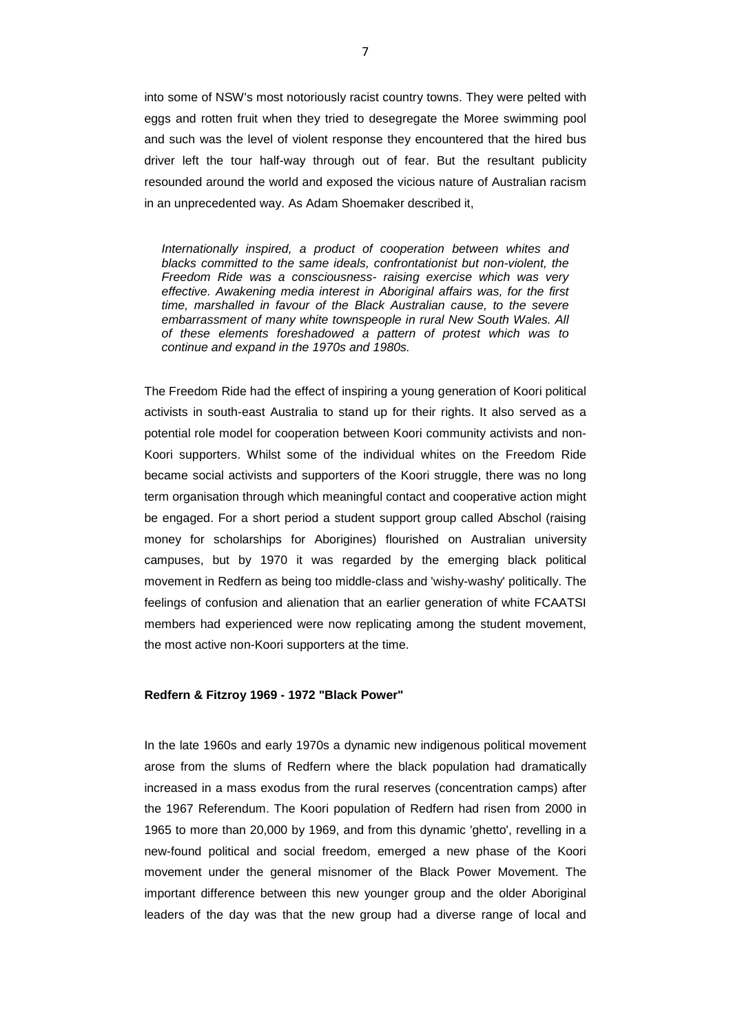into some of NSW's most notoriously racist country towns. They were pelted with eggs and rotten fruit when they tried to desegregate the Moree swimming pool and such was the level of violent response they encountered that the hired bus driver left the tour half-way through out of fear. But the resultant publicity resounded around the world and exposed the vicious nature of Australian racism in an unprecedented way. As Adam Shoemaker described it,

*Internationally inspired, a product of cooperation between whites and blacks committed to the same ideals, confrontationist but non-violent, the Freedom Ride was a consciousness- raising exercise which was very effective. Awakening media interest in Aboriginal affairs was, for the first time, marshalled in favour of the Black Australian cause, to the severe embarrassment of many white townspeople in rural New South Wales. All of these elements foreshadowed a pattern of protest which was to continue and expand in the 1970s and 1980s.*

The Freedom Ride had the effect of inspiring a young generation of Koori political activists in south-east Australia to stand up for their rights. It also served as a potential role model for cooperation between Koori community activists and non-Koori supporters. Whilst some of the individual whites on the Freedom Ride became social activists and supporters of the Koori struggle, there was no long term organisation through which meaningful contact and cooperative action might be engaged. For a short period a student support group called Abschol (raising money for scholarships for Aborigines) flourished on Australian university campuses, but by 1970 it was regarded by the emerging black political movement in Redfern as being too middle-class and 'wishy-washy' politically. The feelings of confusion and alienation that an earlier generation of white FCAATSI members had experienced were now replicating among the student movement, the most active non-Koori supporters at the time.

### **Redfern & Fitzroy 1969 - 1972 "Black Power"**

In the late 1960s and early 1970s a dynamic new indigenous political movement arose from the slums of Redfern where the black population had dramatically increased in a mass exodus from the rural reserves (concentration camps) after the 1967 Referendum. The Koori population of Redfern had risen from 2000 in 1965 to more than 20,000 by 1969, and from this dynamic 'ghetto', revelling in a new-found political and social freedom, emerged a new phase of the Koori movement under the general misnomer of the Black Power Movement. The important difference between this new younger group and the older Aboriginal leaders of the day was that the new group had a diverse range of local and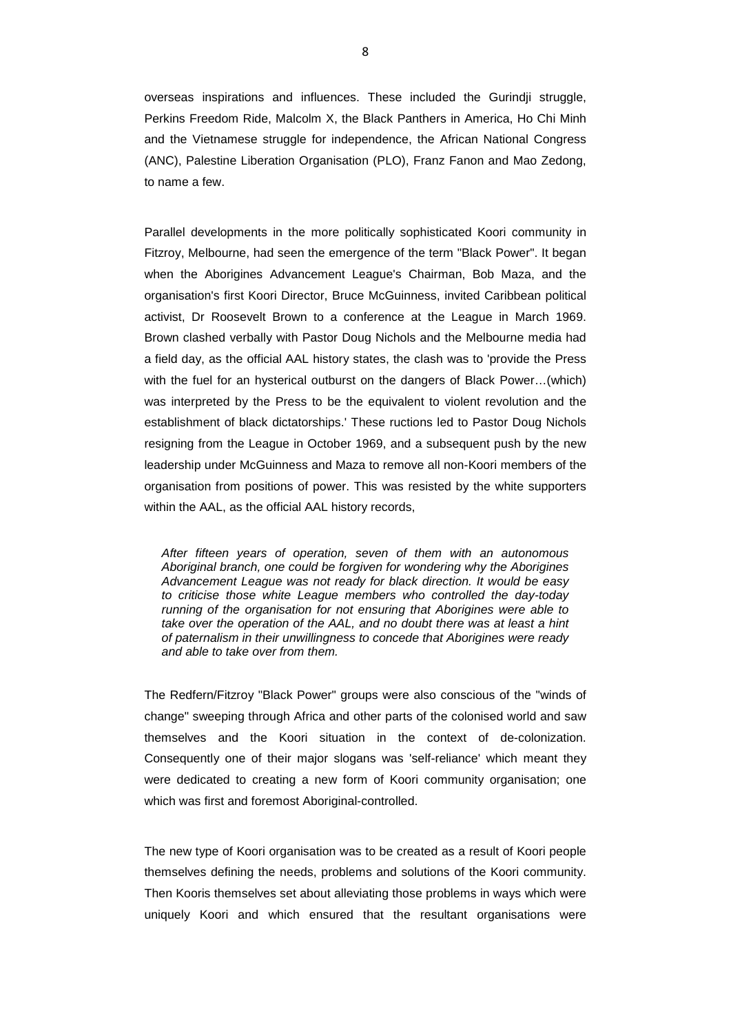overseas inspirations and influences. These included the Gurindji struggle, Perkins Freedom Ride, Malcolm X, the Black Panthers in America, Ho Chi Minh and the Vietnamese struggle for independence, the African National Congress (ANC), Palestine Liberation Organisation (PLO), Franz Fanon and Mao Zedong, to name a few.

Parallel developments in the more politically sophisticated Koori community in Fitzroy, Melbourne, had seen the emergence of the term "Black Power". It began when the Aborigines Advancement League's Chairman, Bob Maza, and the organisation's first Koori Director, Bruce McGuinness, invited Caribbean political activist, Dr Roosevelt Brown to a conference at the League in March 1969. Brown clashed verbally with Pastor Doug Nichols and the Melbourne media had a field day, as the official AAL history states, the clash was to 'provide the Press with the fuel for an hysterical outburst on the dangers of Black Power…(which) was interpreted by the Press to be the equivalent to violent revolution and the establishment of black dictatorships.' These ructions led to Pastor Doug Nichols resigning from the League in October 1969, and a subsequent push by the new leadership under McGuinness and Maza to remove all non-Koori members of the organisation from positions of power. This was resisted by the white supporters within the AAL, as the official AAL history records,

*After fifteen years of operation, seven of them with an autonomous Aboriginal branch, one could be forgiven for wondering why the Aborigines Advancement League was not ready for black direction. It would be easy to criticise those white League members who controlled the day-today running of the organisation for not ensuring that Aborigines were able to take over the operation of the AAL, and no doubt there was at least a hint of paternalism in their unwillingness to concede that Aborigines were ready and able to take over from them.*

The Redfern/Fitzroy "Black Power" groups were also conscious of the "winds of change" sweeping through Africa and other parts of the colonised world and saw themselves and the Koori situation in the context of de-colonization. Consequently one of their major slogans was 'self-reliance' which meant they were dedicated to creating a new form of Koori community organisation; one which was first and foremost Aboriginal-controlled.

The new type of Koori organisation was to be created as a result of Koori people themselves defining the needs, problems and solutions of the Koori community. Then Kooris themselves set about alleviating those problems in ways which were uniquely Koori and which ensured that the resultant organisations were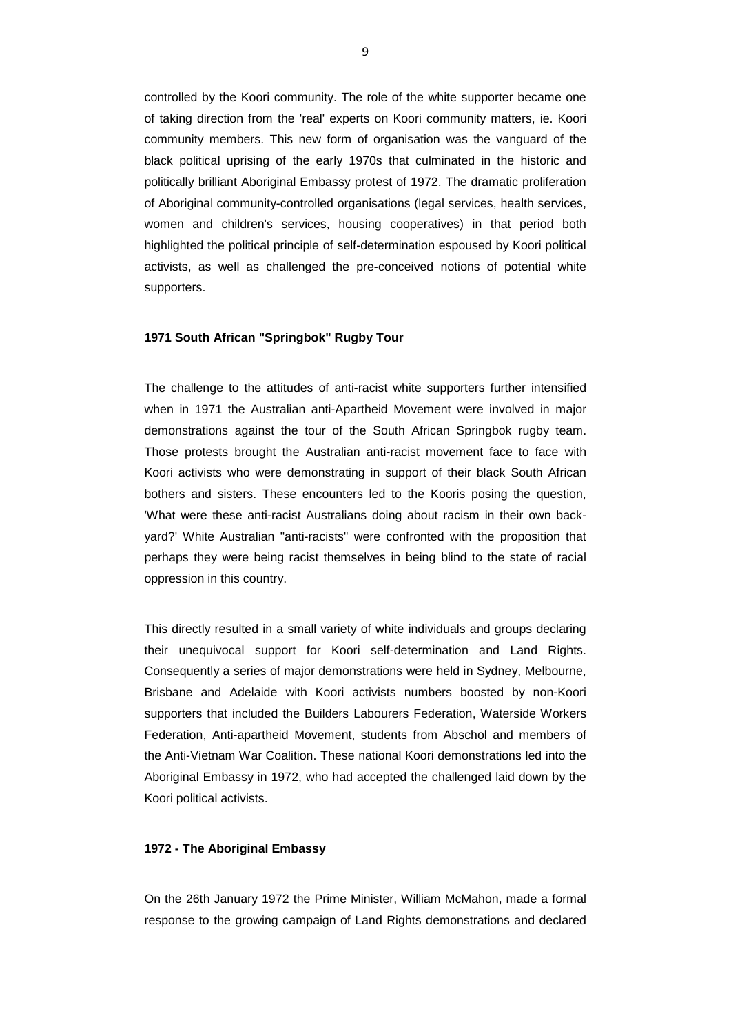controlled by the Koori community. The role of the white supporter became one of taking direction from the 'real' experts on Koori community matters, ie. Koori community members. This new form of organisation was the vanguard of the black political uprising of the early 1970s that culminated in the historic and politically brilliant Aboriginal Embassy protest of 1972. The dramatic proliferation of Aboriginal community-controlled organisations (legal services, health services, women and children's services, housing cooperatives) in that period both highlighted the political principle of self-determination espoused by Koori political activists, as well as challenged the pre-conceived notions of potential white supporters.

### **1971 South African "Springbok" Rugby Tour**

The challenge to the attitudes of anti-racist white supporters further intensified when in 1971 the Australian anti-Apartheid Movement were involved in major demonstrations against the tour of the South African Springbok rugby team. Those protests brought the Australian anti-racist movement face to face with Koori activists who were demonstrating in support of their black South African bothers and sisters. These encounters led to the Kooris posing the question, 'What were these anti-racist Australians doing about racism in their own backyard?' White Australian "anti-racists" were confronted with the proposition that perhaps they were being racist themselves in being blind to the state of racial oppression in this country.

This directly resulted in a small variety of white individuals and groups declaring their unequivocal support for Koori self-determination and Land Rights. Consequently a series of major demonstrations were held in Sydney, Melbourne, Brisbane and Adelaide with Koori activists numbers boosted by non-Koori supporters that included the Builders Labourers Federation, Waterside Workers Federation, Anti-apartheid Movement, students from Abschol and members of the Anti-Vietnam War Coalition. These national Koori demonstrations led into the Aboriginal Embassy in 1972, who had accepted the challenged laid down by the Koori political activists.

### **1972 - The Aboriginal Embassy**

On the 26th January 1972 the Prime Minister, William McMahon, made a formal response to the growing campaign of Land Rights demonstrations and declared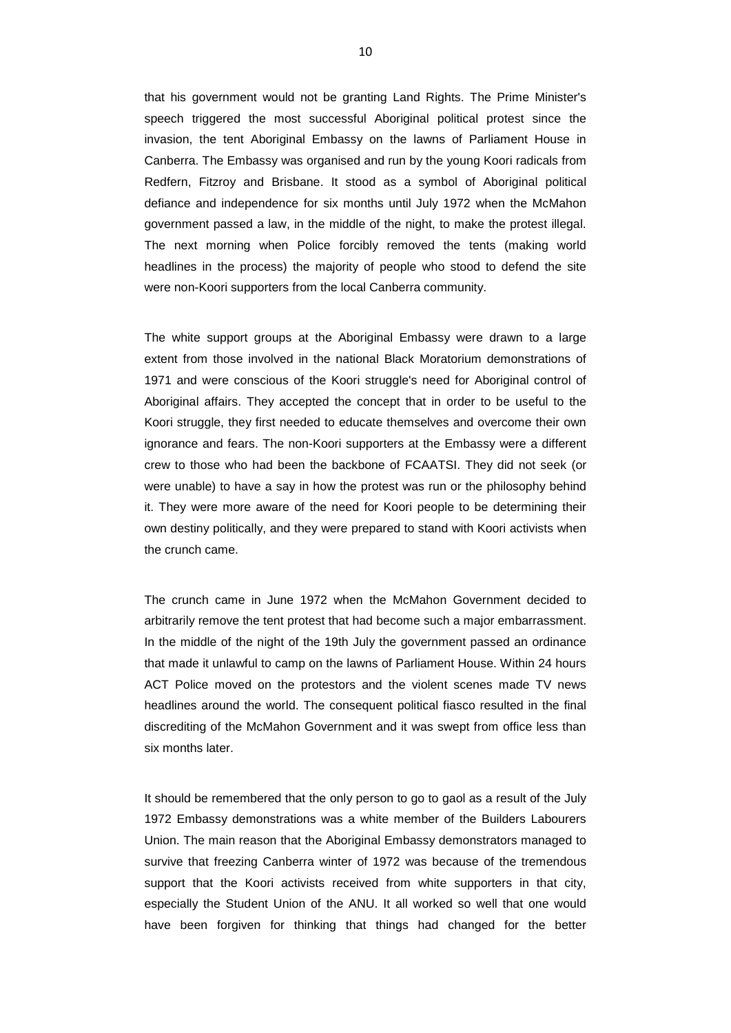that his government would not be granting Land Rights. The Prime Minister's speech triggered the most successful Aboriginal political protest since the invasion, the tent Aboriginal Embassy on the lawns of Parliament House in Canberra. The Embassy was organised and run by the young Koori radicals from Redfern, Fitzroy and Brisbane. It stood as a symbol of Aboriginal political defiance and independence for six months until July 1972 when the McMahon government passed a law, in the middle of the night, to make the protest illegal. The next morning when Police forcibly removed the tents (making world headlines in the process) the majority of people who stood to defend the site were non-Koori supporters from the local Canberra community.

The white support groups at the Aboriginal Embassy were drawn to a large extent from those involved in the national Black Moratorium demonstrations of 1971 and were conscious of the Koori struggle's need for Aboriginal control of Aboriginal affairs. They accepted the concept that in order to be useful to the Koori struggle, they first needed to educate themselves and overcome their own ignorance and fears. The non-Koori supporters at the Embassy were a different crew to those who had been the backbone of FCAATSI. They did not seek (or were unable) to have a say in how the protest was run or the philosophy behind it. They were more aware of the need for Koori people to be determining their own destiny politically, and they were prepared to stand with Koori activists when the crunch came.

The crunch came in June 1972 when the McMahon Government decided to arbitrarily remove the tent protest that had become such a major embarrassment. In the middle of the night of the 19th July the government passed an ordinance that made it unlawful to camp on the lawns of Parliament House. Within 24 hours ACT Police moved on the protestors and the violent scenes made TV news headlines around the world. The consequent political fiasco resulted in the final discrediting of the McMahon Government and it was swept from office less than six months later

It should be remembered that the only person to go to gaol as a result of the July 1972 Embassy demonstrations was a white member of the Builders Labourers Union. The main reason that the Aboriginal Embassy demonstrators managed to survive that freezing Canberra winter of 1972 was because of the tremendous support that the Koori activists received from white supporters in that city, especially the Student Union of the ANU. It all worked so well that one would have been forgiven for thinking that things had changed for the better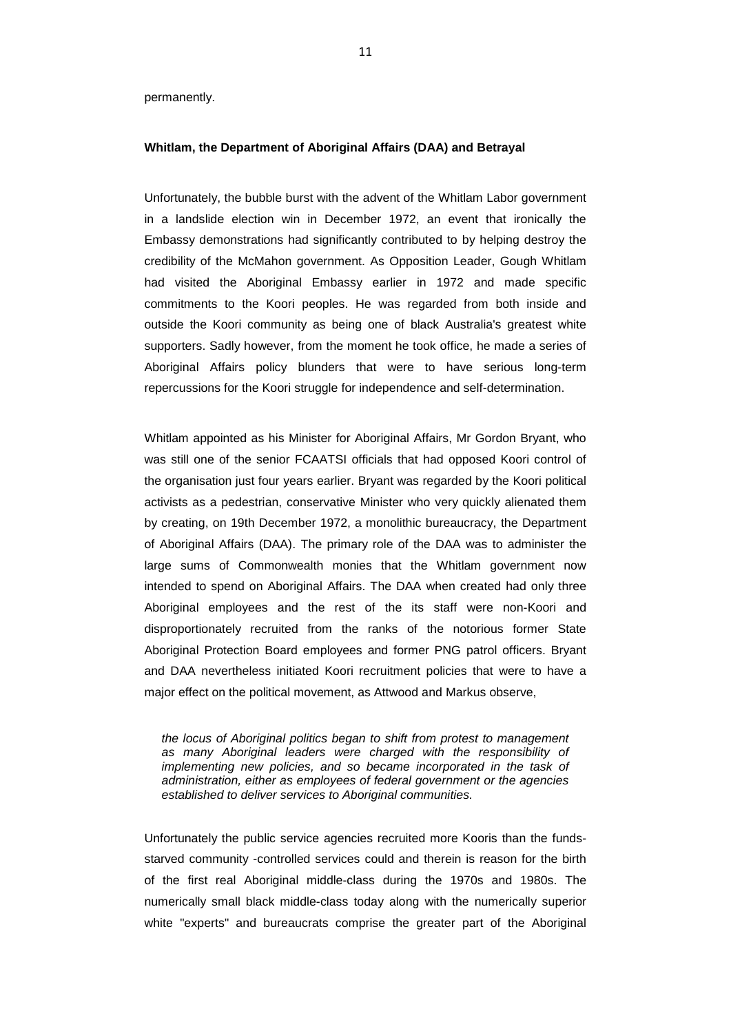permanently.

### **Whitlam, the Department of Aboriginal Affairs (DAA) and Betrayal**

Unfortunately, the bubble burst with the advent of the Whitlam Labor government in a landslide election win in December 1972, an event that ironically the Embassy demonstrations had significantly contributed to by helping destroy the credibility of the McMahon government. As Opposition Leader, Gough Whitlam had visited the Aboriginal Embassy earlier in 1972 and made specific commitments to the Koori peoples. He was regarded from both inside and outside the Koori community as being one of black Australia's greatest white supporters. Sadly however, from the moment he took office, he made a series of Aboriginal Affairs policy blunders that were to have serious long-term repercussions for the Koori struggle for independence and self-determination.

Whitlam appointed as his Minister for Aboriginal Affairs, Mr Gordon Bryant, who was still one of the senior FCAATSI officials that had opposed Koori control of the organisation just four years earlier. Bryant was regarded by the Koori political activists as a pedestrian, conservative Minister who very quickly alienated them by creating, on 19th December 1972, a monolithic bureaucracy, the Department of Aboriginal Affairs (DAA). The primary role of the DAA was to administer the large sums of Commonwealth monies that the Whitlam government now intended to spend on Aboriginal Affairs. The DAA when created had only three Aboriginal employees and the rest of the its staff were non-Koori and disproportionately recruited from the ranks of the notorious former State Aboriginal Protection Board employees and former PNG patrol officers. Bryant and DAA nevertheless initiated Koori recruitment policies that were to have a major effect on the political movement, as Attwood and Markus observe,

*the locus of Aboriginal politics began to shift from protest to management as many Aboriginal leaders were charged with the responsibility of implementing new policies, and so became incorporated in the task of administration, either as employees of federal government or the agencies established to deliver services to Aboriginal communities.*

Unfortunately the public service agencies recruited more Kooris than the fundsstarved community -controlled services could and therein is reason for the birth of the first real Aboriginal middle-class during the 1970s and 1980s. The numerically small black middle-class today along with the numerically superior white "experts" and bureaucrats comprise the greater part of the Aboriginal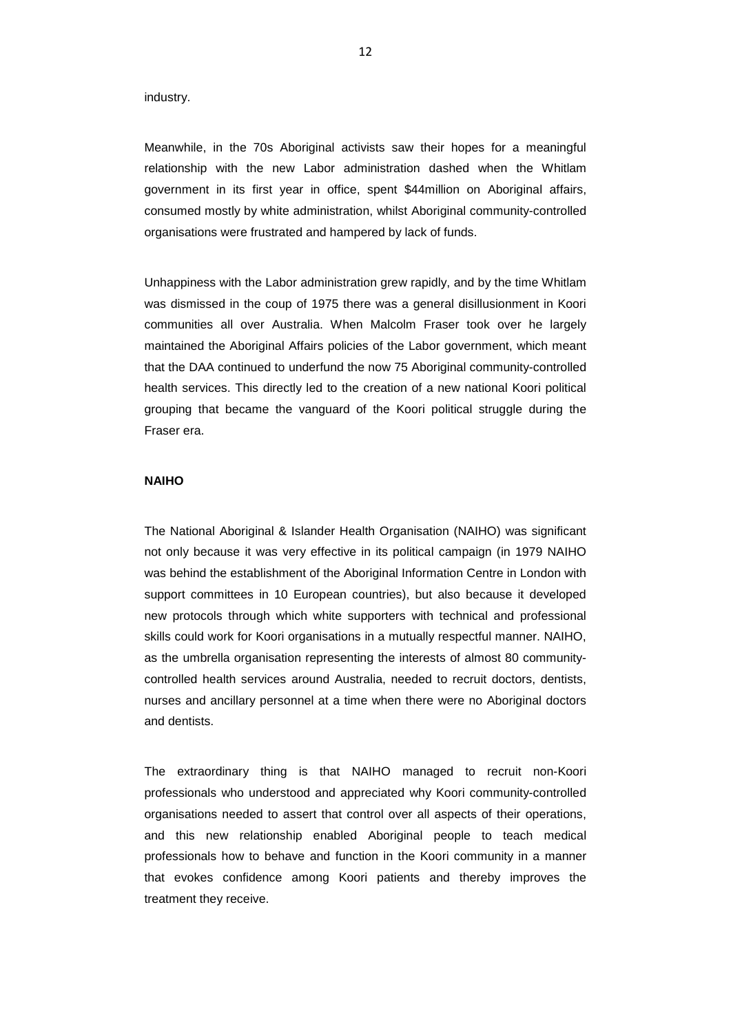industry.

Meanwhile, in the 70s Aboriginal activists saw their hopes for a meaningful relationship with the new Labor administration dashed when the Whitlam government in its first year in office, spent \$44million on Aboriginal affairs, consumed mostly by white administration, whilst Aboriginal community-controlled organisations were frustrated and hampered by lack of funds.

Unhappiness with the Labor administration grew rapidly, and by the time Whitlam was dismissed in the coup of 1975 there was a general disillusionment in Koori communities all over Australia. When Malcolm Fraser took over he largely maintained the Aboriginal Affairs policies of the Labor government, which meant that the DAA continued to underfund the now 75 Aboriginal community-controlled health services. This directly led to the creation of a new national Koori political grouping that became the vanguard of the Koori political struggle during the Fraser era.

### **NAIHO**

The National Aboriginal & Islander Health Organisation (NAIHO) was significant not only because it was very effective in its political campaign (in 1979 NAIHO was behind the establishment of the Aboriginal Information Centre in London with support committees in 10 European countries), but also because it developed new protocols through which white supporters with technical and professional skills could work for Koori organisations in a mutually respectful manner. NAIHO, as the umbrella organisation representing the interests of almost 80 communitycontrolled health services around Australia, needed to recruit doctors, dentists, nurses and ancillary personnel at a time when there were no Aboriginal doctors and dentists.

The extraordinary thing is that NAIHO managed to recruit non-Koori professionals who understood and appreciated why Koori community-controlled organisations needed to assert that control over all aspects of their operations, and this new relationship enabled Aboriginal people to teach medical professionals how to behave and function in the Koori community in a manner that evokes confidence among Koori patients and thereby improves the treatment they receive.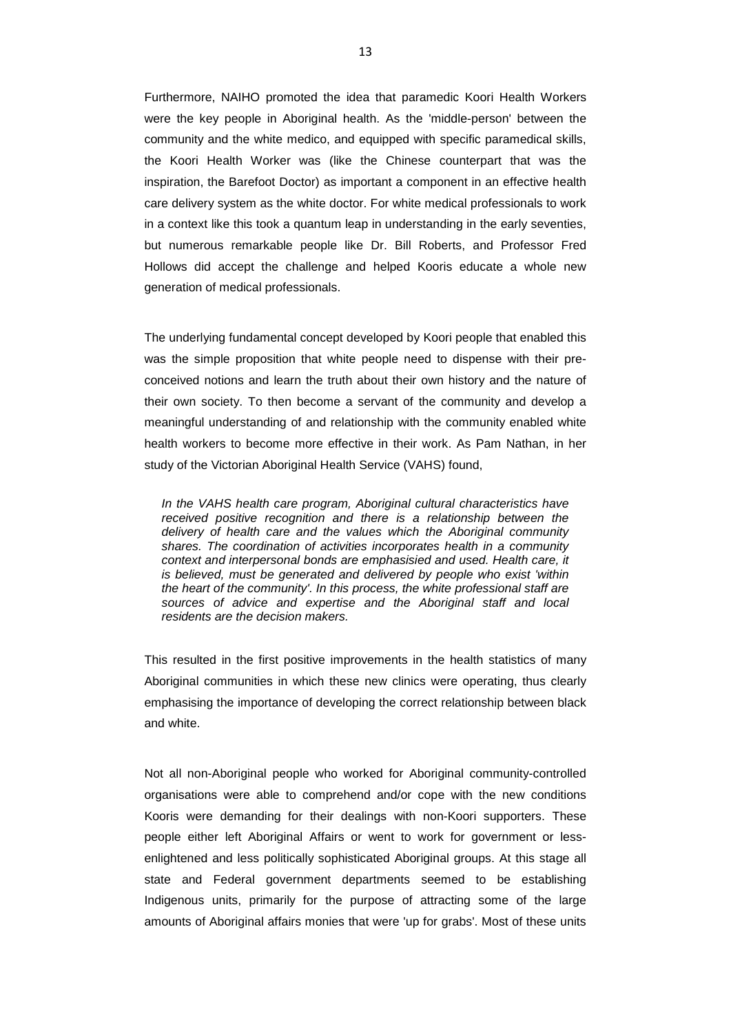Furthermore, NAIHO promoted the idea that paramedic Koori Health Workers were the key people in Aboriginal health. As the 'middle-person' between the community and the white medico, and equipped with specific paramedical skills, the Koori Health Worker was (like the Chinese counterpart that was the inspiration, the Barefoot Doctor) as important a component in an effective health care delivery system as the white doctor. For white medical professionals to work in a context like this took a quantum leap in understanding in the early seventies, but numerous remarkable people like Dr. Bill Roberts, and Professor Fred Hollows did accept the challenge and helped Kooris educate a whole new generation of medical professionals.

The underlying fundamental concept developed by Koori people that enabled this was the simple proposition that white people need to dispense with their preconceived notions and learn the truth about their own history and the nature of their own society. To then become a servant of the community and develop a meaningful understanding of and relationship with the community enabled white health workers to become more effective in their work. As Pam Nathan, in her study of the Victorian Aboriginal Health Service (VAHS) found,

*In the VAHS health care program, Aboriginal cultural characteristics have received positive recognition and there is a relationship between the delivery of health care and the values which the Aboriginal community shares. The coordination of activities incorporates health in a community context and interpersonal bonds are emphasisied and used. Health care, it is believed, must be generated and delivered by people who exist 'within the heart of the community'. In this process, the white professional staff are sources of advice and expertise and the Aboriginal staff and local residents are the decision makers.*

This resulted in the first positive improvements in the health statistics of many Aboriginal communities in which these new clinics were operating, thus clearly emphasising the importance of developing the correct relationship between black and white.

Not all non-Aboriginal people who worked for Aboriginal community-controlled organisations were able to comprehend and/or cope with the new conditions Kooris were demanding for their dealings with non-Koori supporters. These people either left Aboriginal Affairs or went to work for government or lessenlightened and less politically sophisticated Aboriginal groups. At this stage all state and Federal government departments seemed to be establishing Indigenous units, primarily for the purpose of attracting some of the large amounts of Aboriginal affairs monies that were 'up for grabs'. Most of these units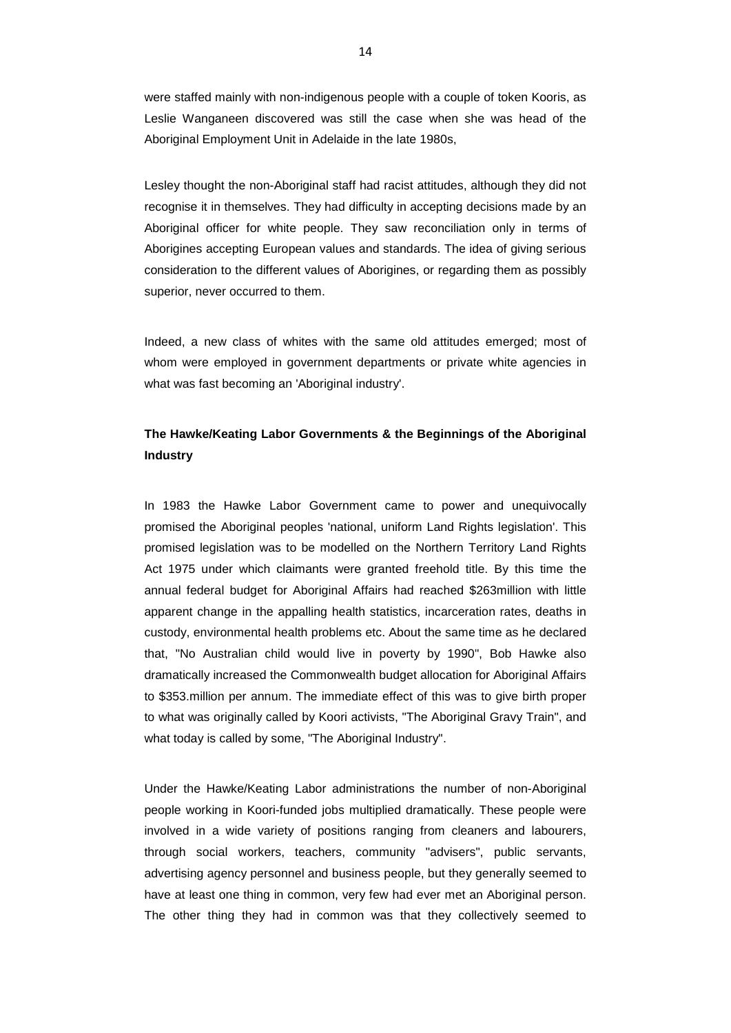were staffed mainly with non-indigenous people with a couple of token Kooris, as Leslie Wanganeen discovered was still the case when she was head of the Aboriginal Employment Unit in Adelaide in the late 1980s,

Lesley thought the non-Aboriginal staff had racist attitudes, although they did not recognise it in themselves. They had difficulty in accepting decisions made by an Aboriginal officer for white people. They saw reconciliation only in terms of Aborigines accepting European values and standards. The idea of giving serious consideration to the different values of Aborigines, or regarding them as possibly superior, never occurred to them.

Indeed, a new class of whites with the same old attitudes emerged; most of whom were employed in government departments or private white agencies in what was fast becoming an 'Aboriginal industry'.

# **The Hawke/Keating Labor Governments & the Beginnings of the Aboriginal Industry**

In 1983 the Hawke Labor Government came to power and unequivocally promised the Aboriginal peoples 'national, uniform Land Rights legislation'. This promised legislation was to be modelled on the Northern Territory Land Rights Act 1975 under which claimants were granted freehold title. By this time the annual federal budget for Aboriginal Affairs had reached \$263million with little apparent change in the appalling health statistics, incarceration rates, deaths in custody, environmental health problems etc. About the same time as he declared that, "No Australian child would live in poverty by 1990", Bob Hawke also dramatically increased the Commonwealth budget allocation for Aboriginal Affairs to \$353.million per annum. The immediate effect of this was to give birth proper to what was originally called by Koori activists, "The Aboriginal Gravy Train", and what today is called by some, "The Aboriginal Industry".

Under the Hawke/Keating Labor administrations the number of non-Aboriginal people working in Koori-funded jobs multiplied dramatically. These people were involved in a wide variety of positions ranging from cleaners and labourers, through social workers, teachers, community "advisers", public servants, advertising agency personnel and business people, but they generally seemed to have at least one thing in common, very few had ever met an Aboriginal person. The other thing they had in common was that they collectively seemed to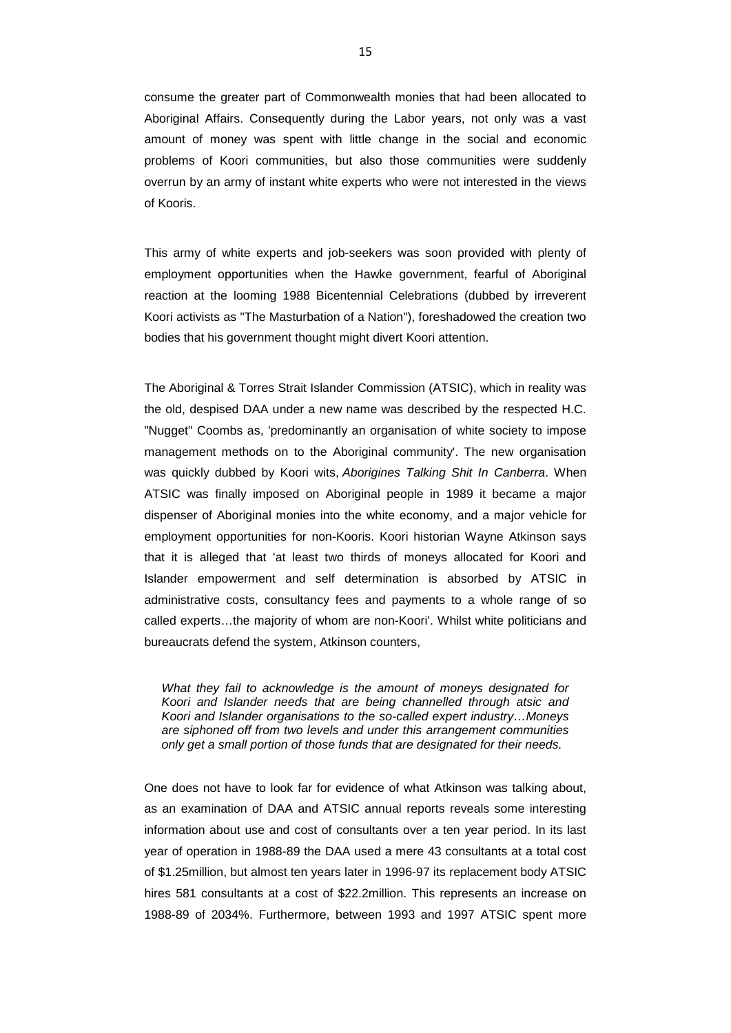consume the greater part of Commonwealth monies that had been allocated to Aboriginal Affairs. Consequently during the Labor years, not only was a vast amount of money was spent with little change in the social and economic problems of Koori communities, but also those communities were suddenly overrun by an army of instant white experts who were not interested in the views of Kooris.

This army of white experts and job-seekers was soon provided with plenty of employment opportunities when the Hawke government, fearful of Aboriginal reaction at the looming 1988 Bicentennial Celebrations (dubbed by irreverent Koori activists as "The Masturbation of a Nation"), foreshadowed the creation two bodies that his government thought might divert Koori attention.

The Aboriginal & Torres Strait Islander Commission (ATSIC), which in reality was the old, despised DAA under a new name was described by the respected H.C. "Nugget" Coombs as, 'predominantly an organisation of white society to impose management methods on to the Aboriginal community'. The new organisation was quickly dubbed by Koori wits, *Aborigines Talking Shit In Canberra*. When ATSIC was finally imposed on Aboriginal people in 1989 it became a major dispenser of Aboriginal monies into the white economy, and a major vehicle for employment opportunities for non-Kooris. Koori historian Wayne Atkinson says that it is alleged that 'at least two thirds of moneys allocated for Koori and Islander empowerment and self determination is absorbed by ATSIC in administrative costs, consultancy fees and payments to a whole range of so called experts…the majority of whom are non-Koori'. Whilst white politicians and bureaucrats defend the system, Atkinson counters,

*What they fail to acknowledge is the amount of moneys designated for Koori and Islander needs that are being channelled through atsic and Koori and Islander organisations to the so-called expert industry…Moneys are siphoned off from two levels and under this arrangement communities only get a small portion of those funds that are designated for their needs.*

One does not have to look far for evidence of what Atkinson was talking about, as an examination of DAA and ATSIC annual reports reveals some interesting information about use and cost of consultants over a ten year period. In its last year of operation in 1988-89 the DAA used a mere 43 consultants at a total cost of \$1.25million, but almost ten years later in 1996-97 its replacement body ATSIC hires 581 consultants at a cost of \$22.2million. This represents an increase on 1988-89 of 2034%. Furthermore, between 1993 and 1997 ATSIC spent more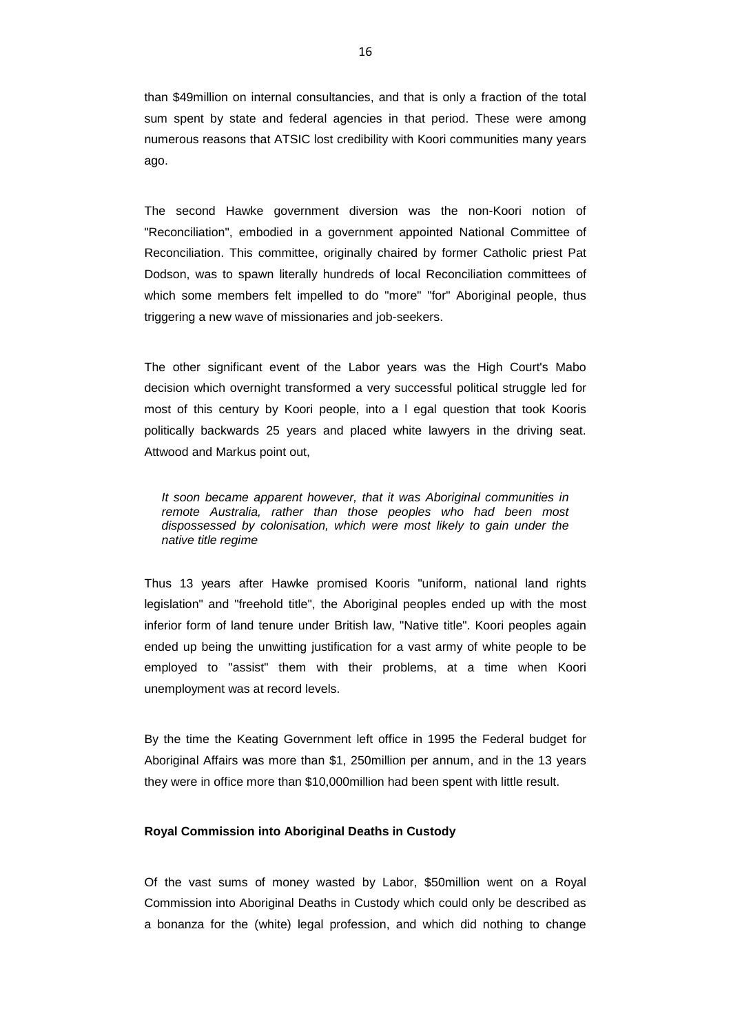than \$49million on internal consultancies, and that is only a fraction of the total sum spent by state and federal agencies in that period. These were among numerous reasons that ATSIC lost credibility with Koori communities many years ago.

The second Hawke government diversion was the non-Koori notion of "Reconciliation", embodied in a government appointed National Committee of Reconciliation. This committee, originally chaired by former Catholic priest Pat Dodson, was to spawn literally hundreds of local Reconciliation committees of which some members felt impelled to do "more" "for" Aboriginal people, thus triggering a new wave of missionaries and job-seekers.

The other significant event of the Labor years was the High Court's Mabo decision which overnight transformed a very successful political struggle led for most of this century by Koori people, into a l egal question that took Kooris politically backwards 25 years and placed white lawyers in the driving seat. Attwood and Markus point out,

*It soon became apparent however, that it was Aboriginal communities in remote Australia, rather than those peoples who had been most dispossessed by colonisation, which were most likely to gain under the native title regime*

Thus 13 years after Hawke promised Kooris "uniform, national land rights legislation" and "freehold title", the Aboriginal peoples ended up with the most inferior form of land tenure under British law, "Native title". Koori peoples again ended up being the unwitting justification for a vast army of white people to be employed to "assist" them with their problems, at a time when Koori unemployment was at record levels.

By the time the Keating Government left office in 1995 the Federal budget for Aboriginal Affairs was more than \$1, 250million per annum, and in the 13 years they were in office more than \$10,000million had been spent with little result.

### **Royal Commission into Aboriginal Deaths in Custody**

Of the vast sums of money wasted by Labor, \$50million went on a Royal Commission into Aboriginal Deaths in Custody which could only be described as a bonanza for the (white) legal profession, and which did nothing to change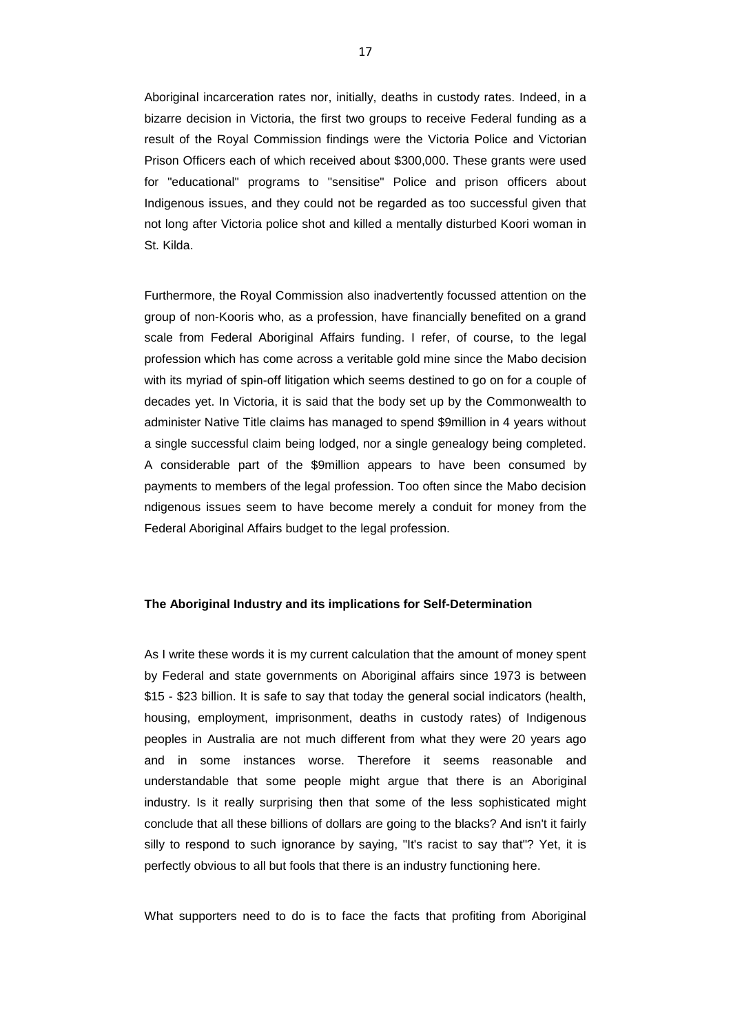Aboriginal incarceration rates nor, initially, deaths in custody rates. Indeed, in a bizarre decision in Victoria, the first two groups to receive Federal funding as a result of the Royal Commission findings were the Victoria Police and Victorian Prison Officers each of which received about \$300,000. These grants were used for "educational" programs to "sensitise" Police and prison officers about Indigenous issues, and they could not be regarded as too successful given that not long after Victoria police shot and killed a mentally disturbed Koori woman in St. Kilda.

Furthermore, the Royal Commission also inadvertently focussed attention on the group of non-Kooris who, as a profession, have financially benefited on a grand scale from Federal Aboriginal Affairs funding. I refer, of course, to the legal profession which has come across a veritable gold mine since the Mabo decision with its myriad of spin-off litigation which seems destined to go on for a couple of decades yet. In Victoria, it is said that the body set up by the Commonwealth to administer Native Title claims has managed to spend \$9million in 4 years without a single successful claim being lodged, nor a single genealogy being completed. A considerable part of the \$9million appears to have been consumed by payments to members of the legal profession. Too often since the Mabo decision ndigenous issues seem to have become merely a conduit for money from the Federal Aboriginal Affairs budget to the legal profession.

### **The Aboriginal Industry and its implications for Self-Determination**

As I write these words it is my current calculation that the amount of money spent by Federal and state governments on Aboriginal affairs since 1973 is between \$15 - \$23 billion. It is safe to say that today the general social indicators (health, housing, employment, imprisonment, deaths in custody rates) of Indigenous peoples in Australia are not much different from what they were 20 years ago and in some instances worse. Therefore it seems reasonable and understandable that some people might argue that there is an Aboriginal industry. Is it really surprising then that some of the less sophisticated might conclude that all these billions of dollars are going to the blacks? And isn't it fairly silly to respond to such ignorance by saying, "It's racist to say that"? Yet, it is perfectly obvious to all but fools that there is an industry functioning here.

What supporters need to do is to face the facts that profiting from Aboriginal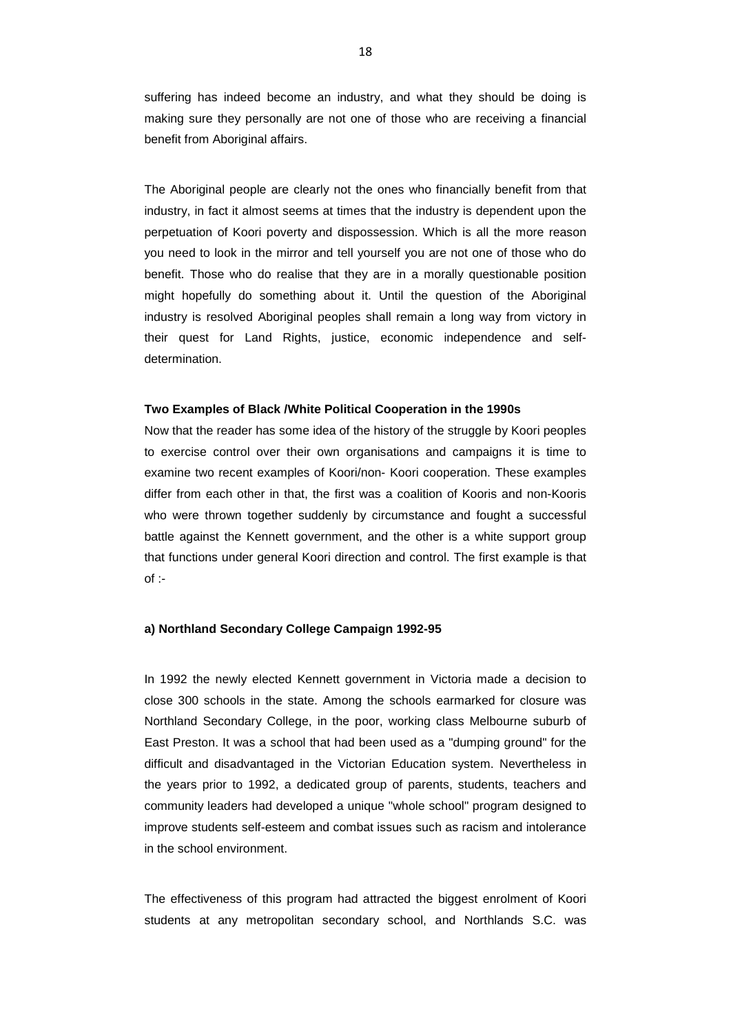suffering has indeed become an industry, and what they should be doing is making sure they personally are not one of those who are receiving a financial benefit from Aboriginal affairs.

The Aboriginal people are clearly not the ones who financially benefit from that industry, in fact it almost seems at times that the industry is dependent upon the perpetuation of Koori poverty and dispossession. Which is all the more reason you need to look in the mirror and tell yourself you are not one of those who do benefit. Those who do realise that they are in a morally questionable position might hopefully do something about it. Until the question of the Aboriginal industry is resolved Aboriginal peoples shall remain a long way from victory in their quest for Land Rights, justice, economic independence and selfdetermination.

#### **Two Examples of Black /White Political Cooperation in the 1990s**

Now that the reader has some idea of the history of the struggle by Koori peoples to exercise control over their own organisations and campaigns it is time to examine two recent examples of Koori/non- Koori cooperation. These examples differ from each other in that, the first was a coalition of Kooris and non-Kooris who were thrown together suddenly by circumstance and fought a successful battle against the Kennett government, and the other is a white support group that functions under general Koori direction and control. The first example is that  $of$  :-

### **a) Northland Secondary College Campaign 1992-95**

In 1992 the newly elected Kennett government in Victoria made a decision to close 300 schools in the state. Among the schools earmarked for closure was Northland Secondary College, in the poor, working class Melbourne suburb of East Preston. It was a school that had been used as a "dumping ground" for the difficult and disadvantaged in the Victorian Education system. Nevertheless in the years prior to 1992, a dedicated group of parents, students, teachers and community leaders had developed a unique "whole school" program designed to improve students self-esteem and combat issues such as racism and intolerance in the school environment.

The effectiveness of this program had attracted the biggest enrolment of Koori students at any metropolitan secondary school, and Northlands S.C. was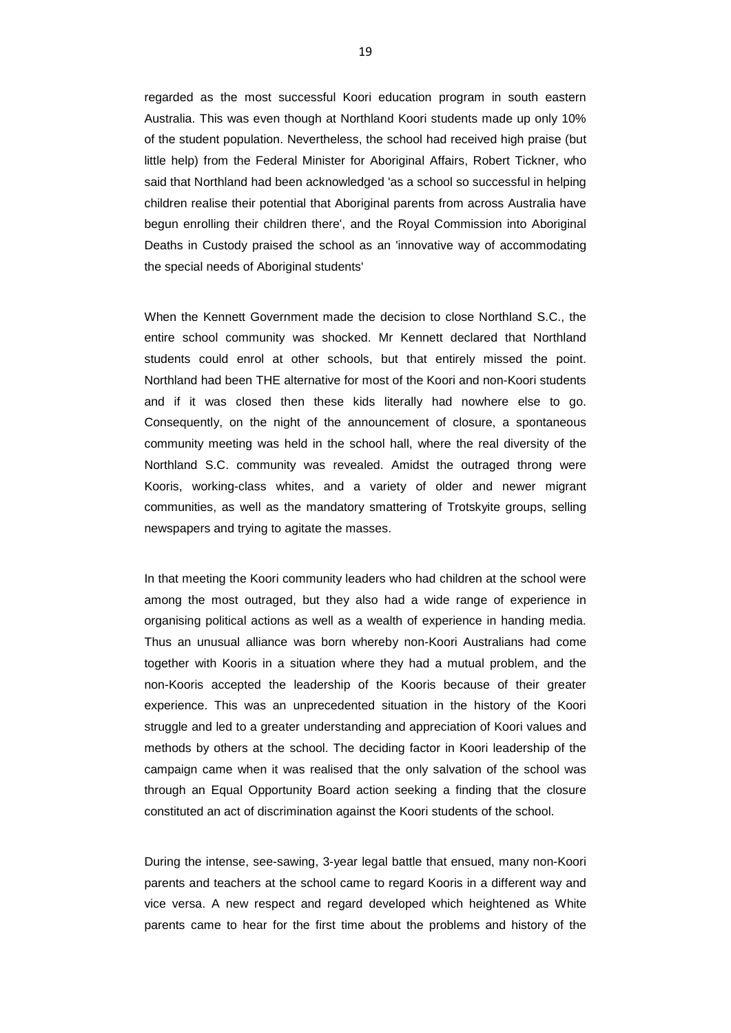regarded as the most successful Koori education program in south eastern Australia. This was even though at Northland Koori students made up only 10% of the student population. Nevertheless, the school had received high praise (but little help) from the Federal Minister for Aboriginal Affairs, Robert Tickner, who said that Northland had been acknowledged 'as a school so successful in helping children realise their potential that Aboriginal parents from across Australia have begun enrolling their children there', and the Royal Commission into Aboriginal Deaths in Custody praised the school as an 'innovative way of accommodating the special needs of Aboriginal students'

When the Kennett Government made the decision to close Northland S.C., the entire school community was shocked. Mr Kennett declared that Northland students could enrol at other schools, but that entirely missed the point. Northland had been THE alternative for most of the Koori and non-Koori students and if it was closed then these kids literally had nowhere else to go. Consequently, on the night of the announcement of closure, a spontaneous community meeting was held in the school hall, where the real diversity of the Northland S.C. community was revealed. Amidst the outraged throng were Kooris, working-class whites, and a variety of older and newer migrant communities, as well as the mandatory smattering of Trotskyite groups, selling newspapers and trying to agitate the masses.

In that meeting the Koori community leaders who had children at the school were among the most outraged, but they also had a wide range of experience in organising political actions as well as a wealth of experience in handing media. Thus an unusual alliance was born whereby non-Koori Australians had come together with Kooris in a situation where they had a mutual problem, and the non-Kooris accepted the leadership of the Kooris because of their greater experience. This was an unprecedented situation in the history of the Koori struggle and led to a greater understanding and appreciation of Koori values and methods by others at the school. The deciding factor in Koori leadership of the campaign came when it was realised that the only salvation of the school was through an Equal Opportunity Board action seeking a finding that the closure constituted an act of discrimination against the Koori students of the school.

During the intense, see-sawing, 3-year legal battle that ensued, many non-Koori parents and teachers at the school came to regard Kooris in a different way and vice versa. A new respect and regard developed which heightened as White parents came to hear for the first time about the problems and history of the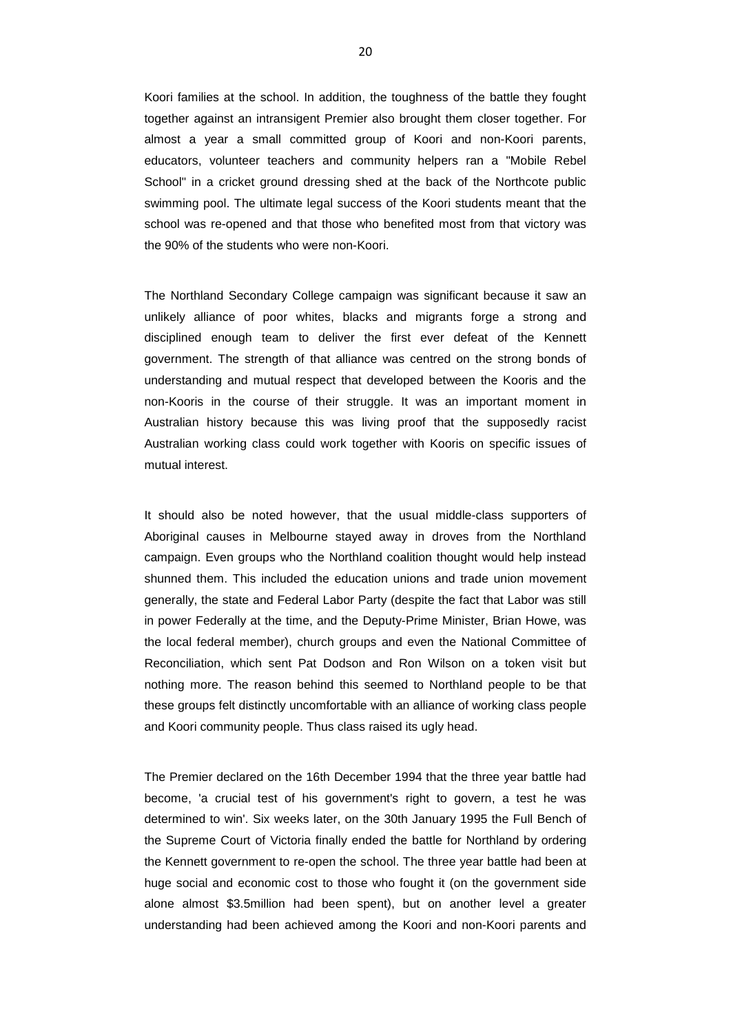Koori families at the school. In addition, the toughness of the battle they fought together against an intransigent Premier also brought them closer together. For almost a year a small committed group of Koori and non-Koori parents, educators, volunteer teachers and community helpers ran a "Mobile Rebel School" in a cricket ground dressing shed at the back of the Northcote public swimming pool. The ultimate legal success of the Koori students meant that the school was re-opened and that those who benefited most from that victory was the 90% of the students who were non-Koori.

The Northland Secondary College campaign was significant because it saw an unlikely alliance of poor whites, blacks and migrants forge a strong and disciplined enough team to deliver the first ever defeat of the Kennett government. The strength of that alliance was centred on the strong bonds of understanding and mutual respect that developed between the Kooris and the non-Kooris in the course of their struggle. It was an important moment in Australian history because this was living proof that the supposedly racist Australian working class could work together with Kooris on specific issues of mutual interest.

It should also be noted however, that the usual middle-class supporters of Aboriginal causes in Melbourne stayed away in droves from the Northland campaign. Even groups who the Northland coalition thought would help instead shunned them. This included the education unions and trade union movement generally, the state and Federal Labor Party (despite the fact that Labor was still in power Federally at the time, and the Deputy-Prime Minister, Brian Howe, was the local federal member), church groups and even the National Committee of Reconciliation, which sent Pat Dodson and Ron Wilson on a token visit but nothing more. The reason behind this seemed to Northland people to be that these groups felt distinctly uncomfortable with an alliance of working class people and Koori community people. Thus class raised its ugly head.

The Premier declared on the 16th December 1994 that the three year battle had become, 'a crucial test of his government's right to govern, a test he was determined to win'. Six weeks later, on the 30th January 1995 the Full Bench of the Supreme Court of Victoria finally ended the battle for Northland by ordering the Kennett government to re-open the school. The three year battle had been at huge social and economic cost to those who fought it (on the government side alone almost \$3.5million had been spent), but on another level a greater understanding had been achieved among the Koori and non-Koori parents and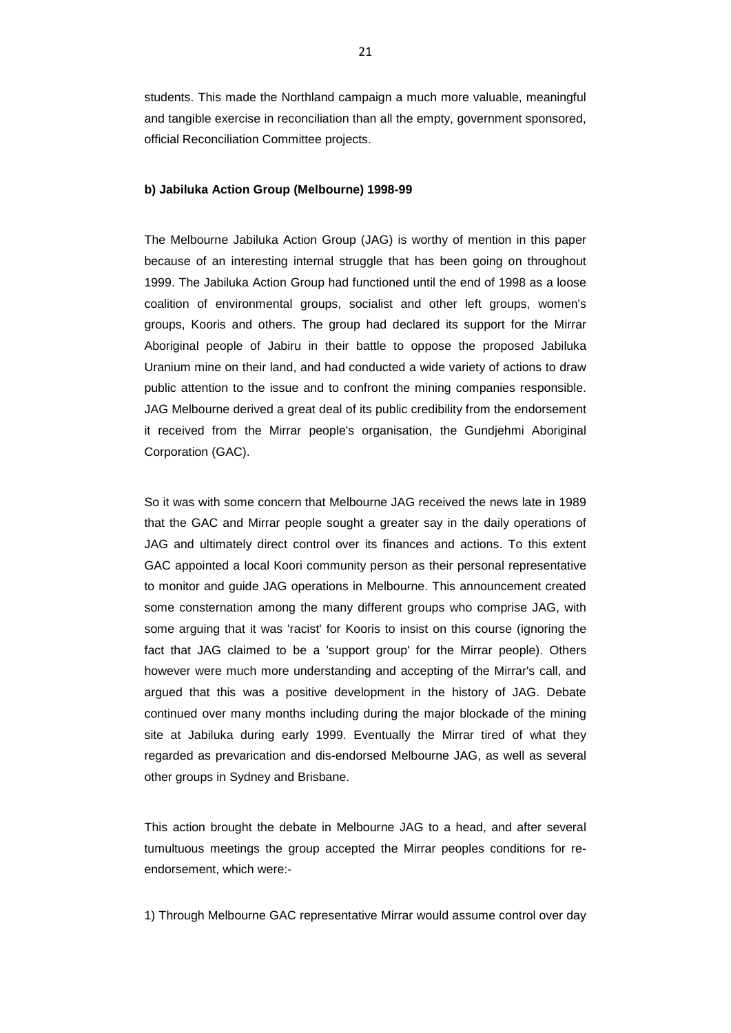students. This made the Northland campaign a much more valuable, meaningful and tangible exercise in reconciliation than all the empty, government sponsored, official Reconciliation Committee projects.

### **b) Jabiluka Action Group (Melbourne) 1998-99**

The Melbourne Jabiluka Action Group (JAG) is worthy of mention in this paper because of an interesting internal struggle that has been going on throughout 1999. The Jabiluka Action Group had functioned until the end of 1998 as a loose coalition of environmental groups, socialist and other left groups, women's groups, Kooris and others. The group had declared its support for the Mirrar Aboriginal people of Jabiru in their battle to oppose the proposed Jabiluka Uranium mine on their land, and had conducted a wide variety of actions to draw public attention to the issue and to confront the mining companies responsible. JAG Melbourne derived a great deal of its public credibility from the endorsement it received from the Mirrar people's organisation, the Gundjehmi Aboriginal Corporation (GAC).

So it was with some concern that Melbourne JAG received the news late in 1989 that the GAC and Mirrar people sought a greater say in the daily operations of JAG and ultimately direct control over its finances and actions. To this extent GAC appointed a local Koori community person as their personal representative to monitor and guide JAG operations in Melbourne. This announcement created some consternation among the many different groups who comprise JAG, with some arguing that it was 'racist' for Kooris to insist on this course (ignoring the fact that JAG claimed to be a 'support group' for the Mirrar people). Others however were much more understanding and accepting of the Mirrar's call, and argued that this was a positive development in the history of JAG. Debate continued over many months including during the major blockade of the mining site at Jabiluka during early 1999. Eventually the Mirrar tired of what they regarded as prevarication and dis-endorsed Melbourne JAG, as well as several other groups in Sydney and Brisbane.

This action brought the debate in Melbourne JAG to a head, and after several tumultuous meetings the group accepted the Mirrar peoples conditions for reendorsement, which were:-

1) Through Melbourne GAC representative Mirrar would assume control over day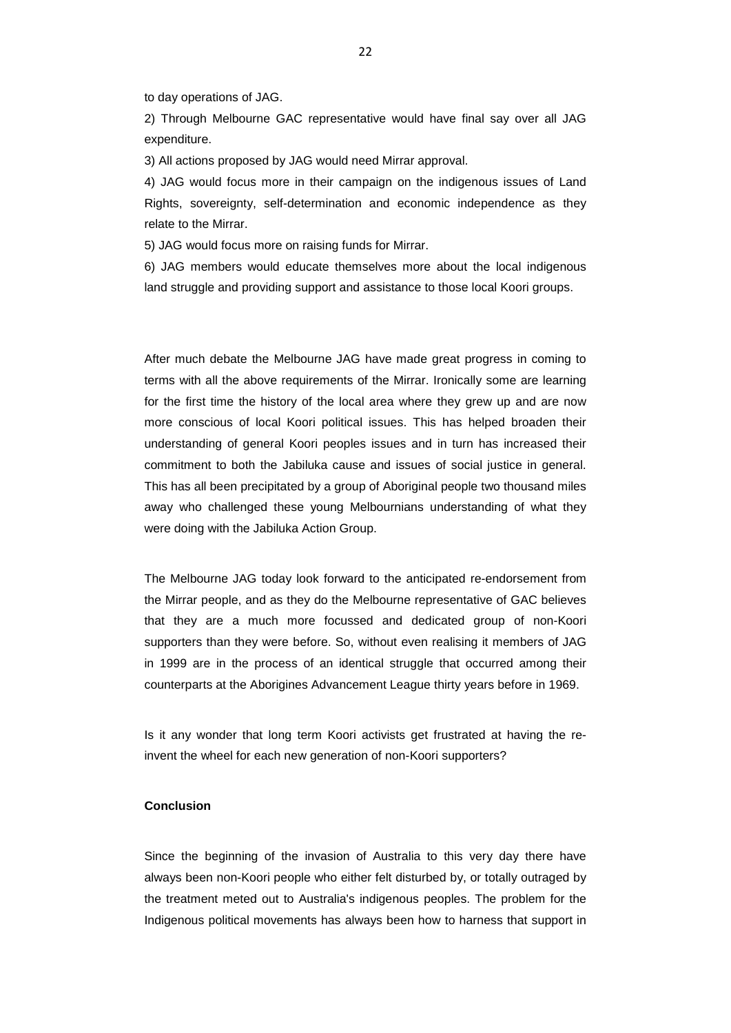to day operations of JAG.

2) Through Melbourne GAC representative would have final say over all JAG expenditure.

3) All actions proposed by JAG would need Mirrar approval.

4) JAG would focus more in their campaign on the indigenous issues of Land Rights, sovereignty, self-determination and economic independence as they relate to the Mirrar.

5) JAG would focus more on raising funds for Mirrar.

6) JAG members would educate themselves more about the local indigenous land struggle and providing support and assistance to those local Koori groups.

After much debate the Melbourne JAG have made great progress in coming to terms with all the above requirements of the Mirrar. Ironically some are learning for the first time the history of the local area where they grew up and are now more conscious of local Koori political issues. This has helped broaden their understanding of general Koori peoples issues and in turn has increased their commitment to both the Jabiluka cause and issues of social justice in general. This has all been precipitated by a group of Aboriginal people two thousand miles away who challenged these young Melbournians understanding of what they were doing with the Jabiluka Action Group.

The Melbourne JAG today look forward to the anticipated re-endorsement from the Mirrar people, and as they do the Melbourne representative of GAC believes that they are a much more focussed and dedicated group of non-Koori supporters than they were before. So, without even realising it members of JAG in 1999 are in the process of an identical struggle that occurred among their counterparts at the Aborigines Advancement League thirty years before in 1969.

Is it any wonder that long term Koori activists get frustrated at having the reinvent the wheel for each new generation of non-Koori supporters?

### **Conclusion**

Since the beginning of the invasion of Australia to this very day there have always been non-Koori people who either felt disturbed by, or totally outraged by the treatment meted out to Australia's indigenous peoples. The problem for the Indigenous political movements has always been how to harness that support in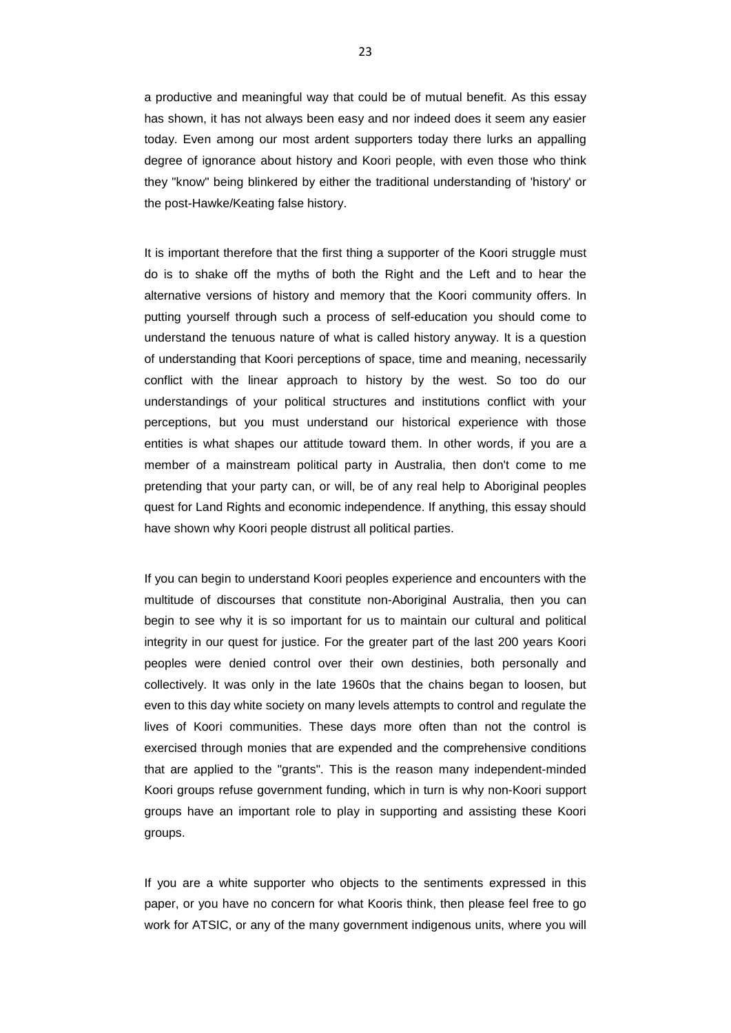a productive and meaningful way that could be of mutual benefit. As this essay has shown, it has not always been easy and nor indeed does it seem any easier today. Even among our most ardent supporters today there lurks an appalling degree of ignorance about history and Koori people, with even those who think they "know" being blinkered by either the traditional understanding of 'history' or the post-Hawke/Keating false history.

It is important therefore that the first thing a supporter of the Koori struggle must do is to shake off the myths of both the Right and the Left and to hear the alternative versions of history and memory that the Koori community offers. In putting yourself through such a process of self-education you should come to understand the tenuous nature of what is called history anyway. It is a question of understanding that Koori perceptions of space, time and meaning, necessarily conflict with the linear approach to history by the west. So too do our understandings of your political structures and institutions conflict with your perceptions, but you must understand our historical experience with those entities is what shapes our attitude toward them. In other words, if you are a member of a mainstream political party in Australia, then don't come to me pretending that your party can, or will, be of any real help to Aboriginal peoples quest for Land Rights and economic independence. If anything, this essay should have shown why Koori people distrust all political parties.

If you can begin to understand Koori peoples experience and encounters with the multitude of discourses that constitute non-Aboriginal Australia, then you can begin to see why it is so important for us to maintain our cultural and political integrity in our quest for justice. For the greater part of the last 200 years Koori peoples were denied control over their own destinies, both personally and collectively. It was only in the late 1960s that the chains began to loosen, but even to this day white society on many levels attempts to control and regulate the lives of Koori communities. These days more often than not the control is exercised through monies that are expended and the comprehensive conditions that are applied to the "grants". This is the reason many independent-minded Koori groups refuse government funding, which in turn is why non-Koori support groups have an important role to play in supporting and assisting these Koori groups.

If you are a white supporter who objects to the sentiments expressed in this paper, or you have no concern for what Kooris think, then please feel free to go work for ATSIC, or any of the many government indigenous units, where you will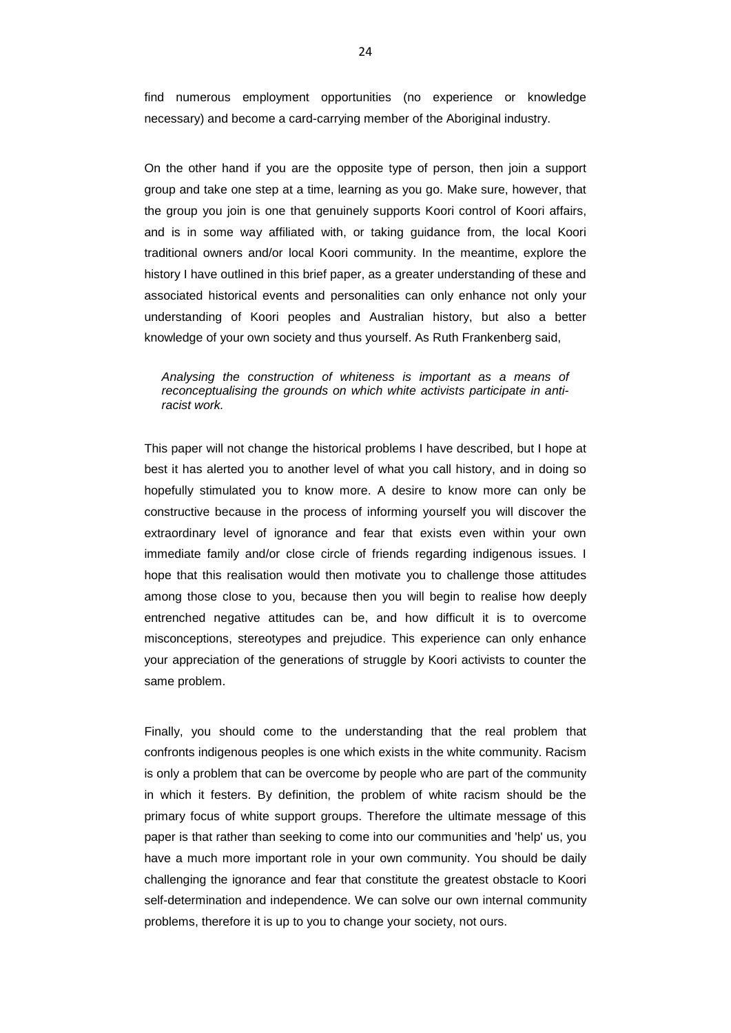find numerous employment opportunities (no experience or knowledge necessary) and become a card-carrying member of the Aboriginal industry.

On the other hand if you are the opposite type of person, then join a support group and take one step at a time, learning as you go. Make sure, however, that the group you join is one that genuinely supports Koori control of Koori affairs, and is in some way affiliated with, or taking guidance from, the local Koori traditional owners and/or local Koori community. In the meantime, explore the history I have outlined in this brief paper, as a greater understanding of these and associated historical events and personalities can only enhance not only your understanding of Koori peoples and Australian history, but also a better knowledge of your own society and thus yourself. As Ruth Frankenberg said,

*Analysing the construction of whiteness is important as a means of reconceptualising the grounds on which white activists participate in antiracist work.*

This paper will not change the historical problems I have described, but I hope at best it has alerted you to another level of what you call history, and in doing so hopefully stimulated you to know more. A desire to know more can only be constructive because in the process of informing yourself you will discover the extraordinary level of ignorance and fear that exists even within your own immediate family and/or close circle of friends regarding indigenous issues. I hope that this realisation would then motivate you to challenge those attitudes among those close to you, because then you will begin to realise how deeply entrenched negative attitudes can be, and how difficult it is to overcome misconceptions, stereotypes and prejudice. This experience can only enhance your appreciation of the generations of struggle by Koori activists to counter the same problem.

Finally, you should come to the understanding that the real problem that confronts indigenous peoples is one which exists in the white community. Racism is only a problem that can be overcome by people who are part of the community in which it festers. By definition, the problem of white racism should be the primary focus of white support groups. Therefore the ultimate message of this paper is that rather than seeking to come into our communities and 'help' us, you have a much more important role in your own community. You should be daily challenging the ignorance and fear that constitute the greatest obstacle to Koori self-determination and independence. We can solve our own internal community problems, therefore it is up to you to change your society, not ours.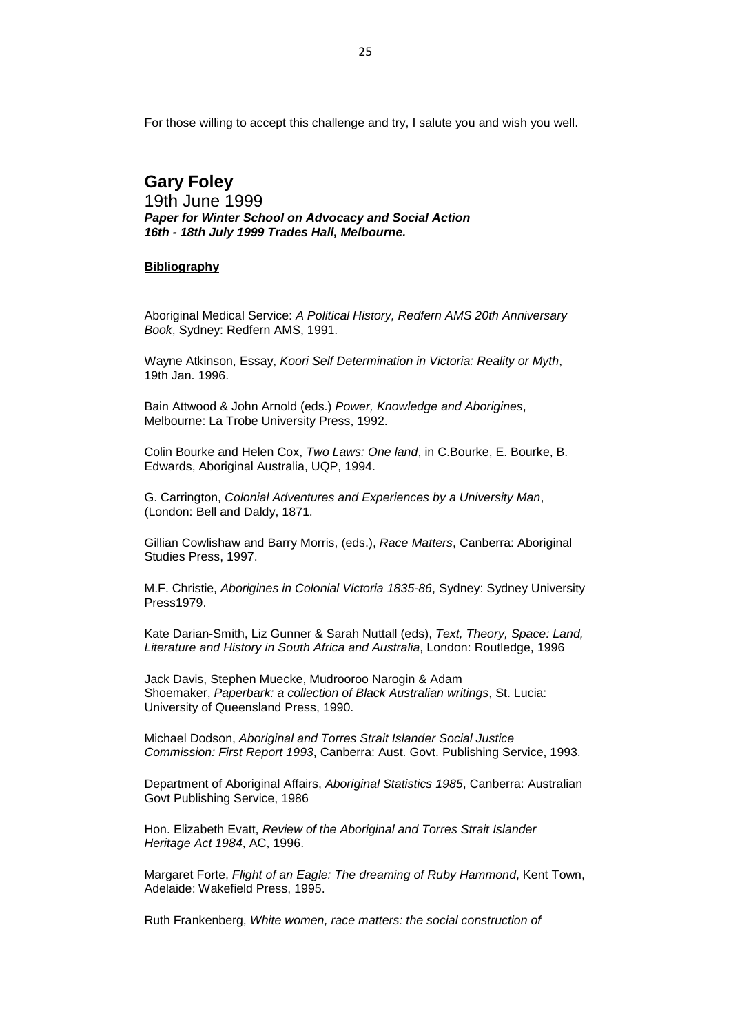For those willing to accept this challenge and try, I salute you and wish you well.

# **Gary Foley**

19th June 1999 *Paper for Winter School on Advocacy and Social Action 16th - 18th July 1999 Trades Hall, Melbourne.*

### **Bibliography**

Aboriginal Medical Service: *A Political History, Redfern AMS 20th Anniversary Book*, Sydney: Redfern AMS, 1991.

Wayne Atkinson, Essay, *Koori Self Determination in Victoria: Reality or Myth*, 19th Jan. 1996.

Bain Attwood & John Arnold (eds.) *Power, Knowledge and Aborigines*, Melbourne: La Trobe University Press, 1992.

Colin Bourke and Helen Cox, *Two Laws: One land*, in C.Bourke, E. Bourke, B. Edwards, Aboriginal Australia, UQP, 1994.

G. Carrington, *Colonial Adventures and Experiences by a University Man*, (London: Bell and Daldy, 1871.

Gillian Cowlishaw and Barry Morris, (eds.), *Race Matters*, Canberra: Aboriginal Studies Press, 1997.

M.F. Christie, *Aborigines in Colonial Victoria 1835-86*, Sydney: Sydney University Press1979.

Kate Darian-Smith, Liz Gunner & Sarah Nuttall (eds), *Text, Theory, Space: Land, Literature and History in South Africa and Australia*, London: Routledge, 1996

Jack Davis, Stephen Muecke, Mudrooroo Narogin & Adam Shoemaker, *Paperbark: a collection of Black Australian writings*, St. Lucia: University of Queensland Press, 1990.

Michael Dodson, *Aboriginal and Torres Strait Islander Social Justice Commission: First Report 1993*, Canberra: Aust. Govt. Publishing Service, 1993.

Department of Aboriginal Affairs, *Aboriginal Statistics 1985*, Canberra: Australian Govt Publishing Service, 1986

Hon. Elizabeth Evatt, *Review of the Aboriginal and Torres Strait Islander Heritage Act 1984*, AC, 1996.

Margaret Forte, *Flight of an Eagle: The dreaming of Ruby Hammond*, Kent Town, Adelaide: Wakefield Press, 1995.

Ruth Frankenberg, *White women, race matters: the social construction of*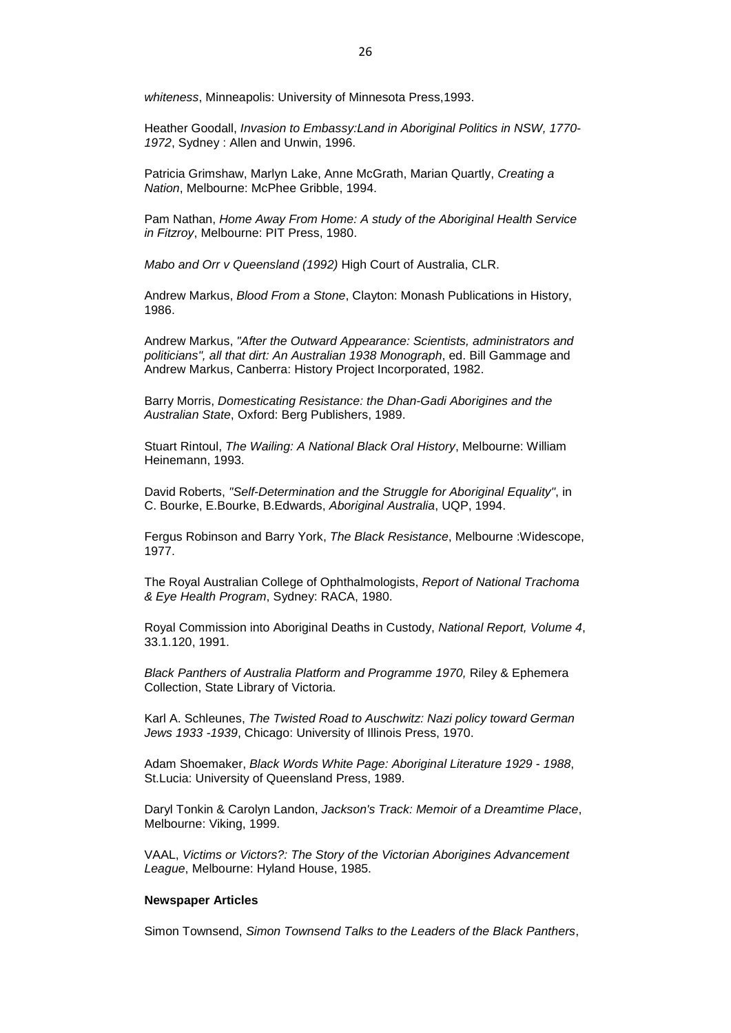*whiteness*, Minneapolis: University of Minnesota Press,1993.

Heather Goodall, *Invasion to Embassy:Land in Aboriginal Politics in NSW, 1770- 1972*, Sydney : Allen and Unwin, 1996.

Patricia Grimshaw, Marlyn Lake, Anne McGrath, Marian Quartly, *Creating a Nation*, Melbourne: McPhee Gribble, 1994.

Pam Nathan, *Home Away From Home: A study of the Aboriginal Health Service in Fitzroy*, Melbourne: PIT Press, 1980.

*Mabo and Orr v Queensland (1992)* High Court of Australia, CLR.

Andrew Markus, *Blood From a Stone*, Clayton: Monash Publications in History, 1986.

Andrew Markus, *"After the Outward Appearance: Scientists, administrators and politicians", all that dirt: An Australian 1938 Monograph*, ed. Bill Gammage and Andrew Markus, Canberra: History Project Incorporated, 1982.

Barry Morris, *Domesticating Resistance: the Dhan-Gadi Aborigines and the Australian State*, Oxford: Berg Publishers, 1989.

Stuart Rintoul, *The Wailing: A National Black Oral History*, Melbourne: William Heinemann, 1993.

David Roberts, *"Self-Determination and the Struggle for Aboriginal Equality"*, in C. Bourke, E.Bourke, B.Edwards, *Aboriginal Australia*, UQP, 1994.

Fergus Robinson and Barry York, *The Black Resistance*, Melbourne :Widescope, 1977.

The Royal Australian College of Ophthalmologists, *Report of National Trachoma & Eye Health Program*, Sydney: RACA, 1980.

Royal Commission into Aboriginal Deaths in Custody, *National Report, Volume 4*, 33.1.120, 1991.

*Black Panthers of Australia Platform and Programme 1970,* Riley & Ephemera Collection, State Library of Victoria.

Karl A. Schleunes, *The Twisted Road to Auschwitz: Nazi policy toward German Jews 1933 -1939*, Chicago: University of Illinois Press, 1970.

Adam Shoemaker, *Black Words White Page: Aboriginal Literature 1929 - 1988*, St.Lucia: University of Queensland Press, 1989.

Daryl Tonkin & Carolyn Landon, *Jackson's Track: Memoir of a Dreamtime Place*, Melbourne: Viking, 1999.

VAAL, *Victims or Victors?: The Story of the Victorian Aborigines Advancement League*, Melbourne: Hyland House, 1985.

### **Newspaper Articles**

Simon Townsend, *Simon Townsend Talks to the Leaders of the Black Panthers*,